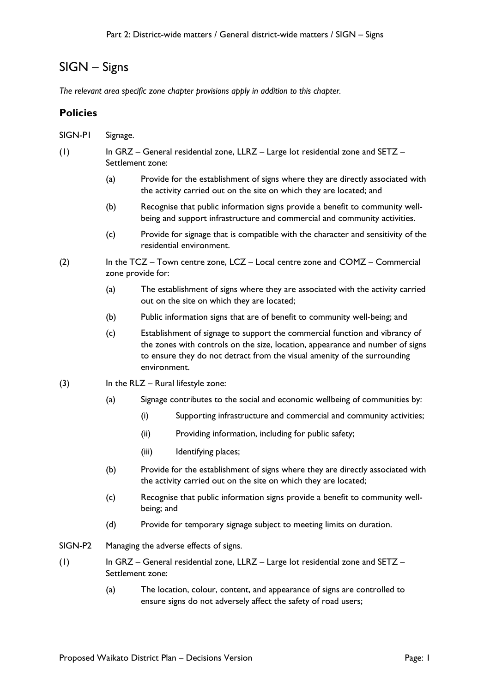# SIGN – Signs

*The relevant area specific zone chapter provisions apply in addition to this chapter.*

# **Policies**

- SIGN-P1 Signage.
- (1) In GRZ General residential zone, LLRZ Large lot residential zone and SETZ Settlement zone:
	- (a) Provide for the establishment of signs where they are directly associated with the activity carried out on the site on which they are located; and
	- (b) Recognise that public information signs provide a benefit to community wellbeing and support infrastructure and commercial and community activities.
	- (c) Provide for signage that is compatible with the character and sensitivity of the residential environment.
- (2) In the TCZ Town centre zone, LCZ Local centre zone and COMZ Commercial zone provide for:
	- (a) The establishment of signs where they are associated with the activity carried out on the site on which they are located;
	- (b) Public information signs that are of benefit to community well-being; and
	- (c) Establishment of signage to support the commercial function and vibrancy of the zones with controls on the size, location, appearance and number of signs to ensure they do not detract from the visual amenity of the surrounding environment.
- $(3)$  In the RLZ Rural lifestyle zone:
	- (a) Signage contributes to the social and economic wellbeing of communities by:
		- (i) Supporting infrastructure and commercial and community activities;
		- (ii) Providing information, including for public safety;
		- (iii) Identifying places;
	- (b) Provide for the establishment of signs where they are directly associated with the activity carried out on the site on which they are located;
	- (c) Recognise that public information signs provide a benefit to community wellbeing; and
	- (d) Provide for temporary signage subject to meeting limits on duration.
- SIGN-P2 Managing the adverse effects of signs.
- (1) In GRZ General residential zone, LLRZ Large lot residential zone and SETZ Settlement zone:
	- (a) The location, colour, content, and appearance of signs are controlled to ensure signs do not adversely affect the safety of road users;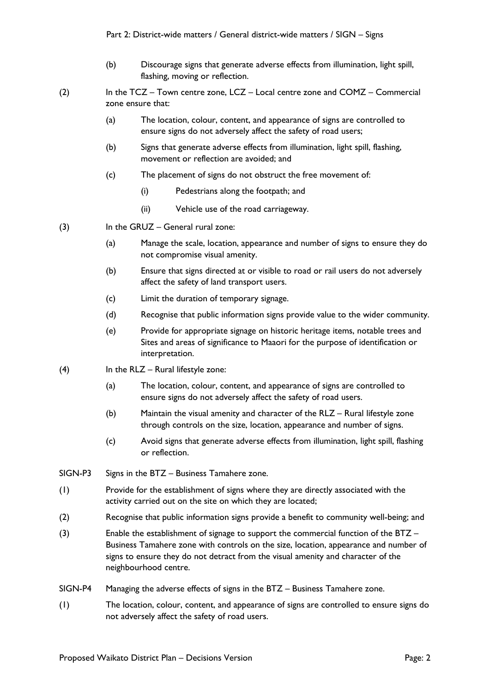- (b) Discourage signs that generate adverse effects from illumination, light spill, flashing, moving or reflection.
- (2) In the TCZ Town centre zone, LCZ Local centre zone and COMZ Commercial zone ensure that:
	- (a) The location, colour, content, and appearance of signs are controlled to ensure signs do not adversely affect the safety of road users;
	- (b) Signs that generate adverse effects from illumination, light spill, flashing, movement or reflection are avoided; and
	- (c) The placement of signs do not obstruct the free movement of:
		- (i) Pedestrians along the footpath; and
		- (ii) Vehicle use of the road carriageway.
- (3) In the GRUZ General rural zone:
	- (a) Manage the scale, location, appearance and number of signs to ensure they do not compromise visual amenity.
	- (b) Ensure that signs directed at or visible to road or rail users do not adversely affect the safety of land transport users.
	- (c) Limit the duration of temporary signage.
	- (d) Recognise that public information signs provide value to the wider community.
	- (e) Provide for appropriate signage on historic heritage items, notable trees and Sites and areas of significance to Maaori for the purpose of identification or interpretation.
- $(4)$  In the RLZ Rural lifestyle zone:
	- (a) The location, colour, content, and appearance of signs are controlled to ensure signs do not adversely affect the safety of road users.
	- (b) Maintain the visual amenity and character of the RLZ Rural lifestyle zone through controls on the size, location, appearance and number of signs.
	- (c) Avoid signs that generate adverse effects from illumination, light spill, flashing or reflection.
- SIGN-P3 Signs in the BTZ Business Tamahere zone.
- (1) Provide for the establishment of signs where they are directly associated with the activity carried out on the site on which they are located;
- (2) Recognise that public information signs provide a benefit to community well-being; and
- (3) Enable the establishment of signage to support the commercial function of the BTZ Business Tamahere zone with controls on the size, location, appearance and number of signs to ensure they do not detract from the visual amenity and character of the neighbourhood centre.
- SIGN-P4 Managing the adverse effects of signs in the BTZ Business Tamahere zone.
- (1) The location, colour, content, and appearance of signs are controlled to ensure signs do not adversely affect the safety of road users.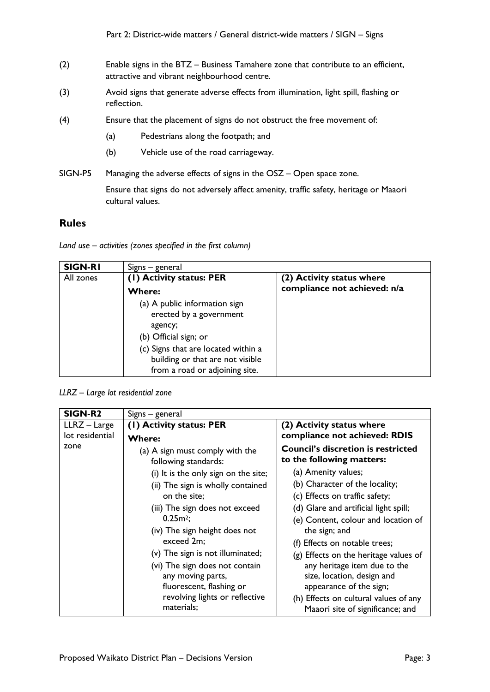- (2) Enable signs in the BTZ Business Tamahere zone that contribute to an efficient, attractive and vibrant neighbourhood centre.
- (3) Avoid signs that generate adverse effects from illumination, light spill, flashing or reflection.
- (4) Ensure that the placement of signs do not obstruct the free movement of:
	- (a) Pedestrians along the footpath; and
	- (b) Vehicle use of the road carriageway.
- SIGN-P5 Managing the adverse effects of signs in the OSZ Open space zone.

Ensure that signs do not adversely affect amenity, traffic safety, heritage or Maaori cultural values.

### **Rules**

*Land use – activities (zones specified in the first column)*

| <b>SIGN-RI</b> | Signs - general                                                                                           |                              |
|----------------|-----------------------------------------------------------------------------------------------------------|------------------------------|
| All zones      | (1) Activity status: PER                                                                                  | (2) Activity status where    |
|                | <b>Where:</b>                                                                                             | compliance not achieved: n/a |
|                | (a) A public information sign<br>erected by a government<br>agency;<br>(b) Official sign; or              |                              |
|                | (c) Signs that are located within a<br>building or that are not visible<br>from a road or adjoining site. |                              |

*LLRZ – Large lot residential zone*

| SIGN-R2         | Signs – general                                         |                                                                           |
|-----------------|---------------------------------------------------------|---------------------------------------------------------------------------|
| LLRZ - Large    | (1) Activity status: PER                                | (2) Activity status where                                                 |
| lot residential | <b>Where:</b>                                           | compliance not achieved: RDIS                                             |
| zone            | (a) A sign must comply with the<br>following standards: | <b>Council's discretion is restricted</b><br>to the following matters:    |
|                 | (i) It is the only sign on the site;                    | (a) Amenity values;                                                       |
|                 | (ii) The sign is wholly contained                       | (b) Character of the locality;                                            |
|                 | on the site;                                            | (c) Effects on traffic safety;                                            |
|                 | (iii) The sign does not exceed                          | (d) Glare and artificial light spill;                                     |
|                 | 0.25m <sup>2</sup>                                      | (e) Content, colour and location of                                       |
|                 | (iv) The sign height does not                           | the sign; and                                                             |
|                 | exceed 2m;                                              | (f) Effects on notable trees;                                             |
|                 | (v) The sign is not illuminated;                        | (g) Effects on the heritage values of                                     |
|                 | (vi) The sign does not contain                          | any heritage item due to the                                              |
|                 | any moving parts,                                       | size, location, design and                                                |
|                 | fluorescent, flashing or                                | appearance of the sign;                                                   |
|                 | revolving lights or reflective<br>materials;            | (h) Effects on cultural values of any<br>Maaori site of significance; and |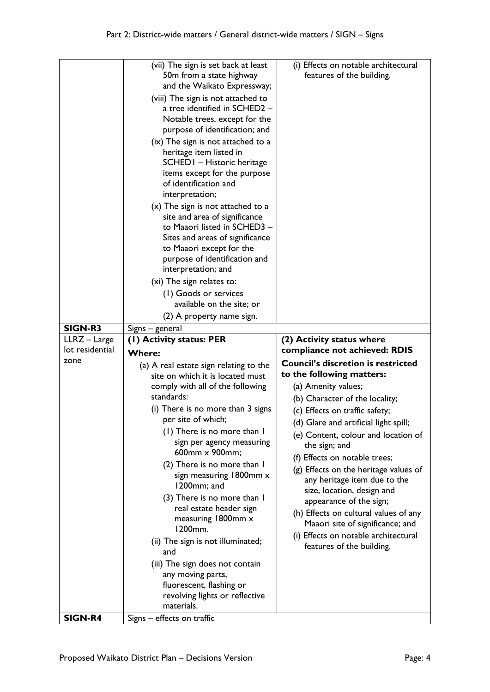| <b>SIGN-R3</b>          | (vii) The sign is set back at least<br>50m from a state highway<br>and the Waikato Expressway;<br>(viii) The sign is not attached to<br>a tree identified in SCHED2 -<br>Notable trees, except for the<br>purpose of identification; and<br>(ix) The sign is not attached to a<br>heritage item listed in<br>SCHED I - Historic heritage<br>items except for the purpose<br>of identification and<br>interpretation;<br>(x) The sign is not attached to a<br>site and area of significance<br>to Maaori listed in SCHED3 -<br>Sites and areas of significance<br>to Maaori except for the<br>purpose of identification and<br>interpretation; and<br>(xi) The sign relates to:<br>(1) Goods or services<br>available on the site; or<br>(2) A property name sign.<br>Signs – general | (i) Effects on notable architectural<br>features of the building.                                                                                                                                                                                                                                                                                                                                                                                    |
|-------------------------|--------------------------------------------------------------------------------------------------------------------------------------------------------------------------------------------------------------------------------------------------------------------------------------------------------------------------------------------------------------------------------------------------------------------------------------------------------------------------------------------------------------------------------------------------------------------------------------------------------------------------------------------------------------------------------------------------------------------------------------------------------------------------------------|------------------------------------------------------------------------------------------------------------------------------------------------------------------------------------------------------------------------------------------------------------------------------------------------------------------------------------------------------------------------------------------------------------------------------------------------------|
| LLRZ - Large            | (1) Activity status: PER                                                                                                                                                                                                                                                                                                                                                                                                                                                                                                                                                                                                                                                                                                                                                             | (2) Activity status where                                                                                                                                                                                                                                                                                                                                                                                                                            |
| lot residential<br>zone | <b>Where:</b>                                                                                                                                                                                                                                                                                                                                                                                                                                                                                                                                                                                                                                                                                                                                                                        | compliance not achieved: RDIS<br><b>Council's discretion is restricted</b>                                                                                                                                                                                                                                                                                                                                                                           |
|                         | (a) A real estate sign relating to the<br>site on which it is located must<br>comply with all of the following<br>standards:<br>(i) There is no more than 3 signs                                                                                                                                                                                                                                                                                                                                                                                                                                                                                                                                                                                                                    | to the following matters:<br>(a) Amenity values;<br>(b) Character of the locality;                                                                                                                                                                                                                                                                                                                                                                   |
|                         | per site of which;<br>(1) There is no more than I<br>sign per agency measuring<br>600mm x 900mm;<br>(2) There is no more than I<br>sign measuring 1800mm x<br>1200mm; and<br>(3) There is no more than I<br>real estate header sign<br>measuring 1800mm x<br>1200mm.<br>(ii) The sign is not illuminated;<br>and<br>(iii) The sign does not contain<br>any moving parts,<br>fluorescent, flashing or                                                                                                                                                                                                                                                                                                                                                                                 | (c) Effects on traffic safety;<br>(d) Glare and artificial light spill;<br>(e) Content, colour and location of<br>the sign; and<br>(f) Effects on notable trees;<br>(g) Effects on the heritage values of<br>any heritage item due to the<br>size, location, design and<br>appearance of the sign;<br>(h) Effects on cultural values of any<br>Maaori site of significance; and<br>(i) Effects on notable architectural<br>features of the building. |
|                         | revolving lights or reflective<br>materials.                                                                                                                                                                                                                                                                                                                                                                                                                                                                                                                                                                                                                                                                                                                                         |                                                                                                                                                                                                                                                                                                                                                                                                                                                      |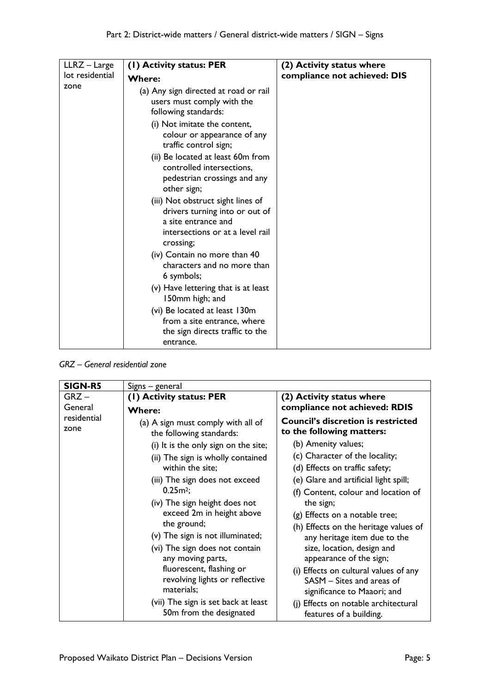| LLRZ - Large    | (1) Activity status: PER                                                                                                                                                                                                                                                                                                                                                                                                                                                                                            | (2) Activity status where    |
|-----------------|---------------------------------------------------------------------------------------------------------------------------------------------------------------------------------------------------------------------------------------------------------------------------------------------------------------------------------------------------------------------------------------------------------------------------------------------------------------------------------------------------------------------|------------------------------|
| lot residential | <b>Where:</b>                                                                                                                                                                                                                                                                                                                                                                                                                                                                                                       | compliance not achieved: DIS |
| zone            | (a) Any sign directed at road or rail<br>users must comply with the<br>following standards:<br>(i) Not imitate the content,<br>colour or appearance of any<br>traffic control sign;                                                                                                                                                                                                                                                                                                                                 |                              |
|                 | (ii) Be located at least 60m from<br>controlled intersections,<br>pedestrian crossings and any<br>other sign;<br>(iii) Not obstruct sight lines of<br>drivers turning into or out of<br>a site entrance and<br>intersections or at a level rail<br>crossing;<br>(iv) Contain no more than 40<br>characters and no more than<br>6 symbols;<br>(v) Have lettering that is at least<br>150mm high; and<br>(vi) Be located at least 130m<br>from a site entrance, where<br>the sign directs traffic to the<br>entrance. |                              |

*GRZ – General residential zone*

| <b>SIGN-R5</b>      | Signs – general                                                                                                                                                                                                                                                                                                                                                                                                                                                                                                                        |                                                                                                                                                                                                                                                                                                                                                                                                                                                                                                                                                                                                            |
|---------------------|----------------------------------------------------------------------------------------------------------------------------------------------------------------------------------------------------------------------------------------------------------------------------------------------------------------------------------------------------------------------------------------------------------------------------------------------------------------------------------------------------------------------------------------|------------------------------------------------------------------------------------------------------------------------------------------------------------------------------------------------------------------------------------------------------------------------------------------------------------------------------------------------------------------------------------------------------------------------------------------------------------------------------------------------------------------------------------------------------------------------------------------------------------|
| $GRZ -$<br>General  | (1) Activity status: PER<br><b>Where:</b>                                                                                                                                                                                                                                                                                                                                                                                                                                                                                              | (2) Activity status where<br>compliance not achieved: RDIS                                                                                                                                                                                                                                                                                                                                                                                                                                                                                                                                                 |
| residential<br>zone | (a) A sign must comply with all of<br>the following standards:<br>(i) It is the only sign on the site;<br>(ii) The sign is wholly contained<br>within the site;<br>(iii) The sign does not exceed<br>$0.25m^2$ ;<br>(iv) The sign height does not<br>exceed 2m in height above<br>the ground;<br>(v) The sign is not illuminated;<br>(vi) The sign does not contain<br>any moving parts,<br>fluorescent, flashing or<br>revolving lights or reflective<br>materials;<br>(vii) The sign is set back at least<br>50m from the designated | <b>Council's discretion is restricted</b><br>to the following matters:<br>(b) Amenity values;<br>(c) Character of the locality;<br>(d) Effects on traffic safety;<br>(e) Glare and artificial light spill;<br>(f) Content, colour and location of<br>the sign;<br>(g) Effects on a notable tree;<br>(h) Effects on the heritage values of<br>any heritage item due to the<br>size, location, design and<br>appearance of the sign;<br>(i) Effects on cultural values of any<br>SASM - Sites and areas of<br>significance to Maaori; and<br>(j) Effects on notable architectural<br>features of a building. |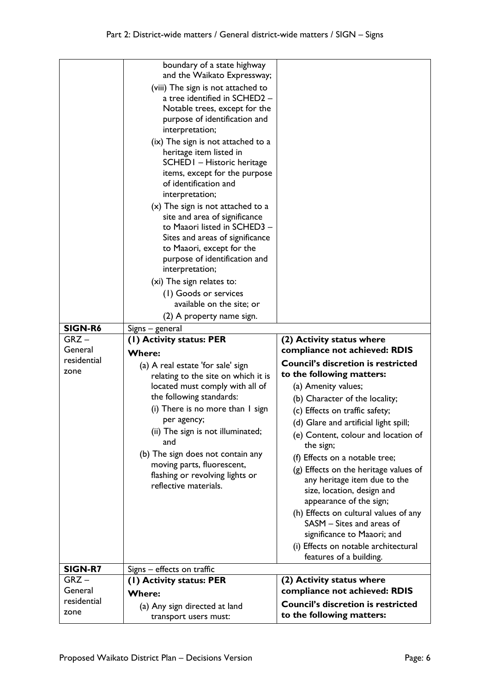|                        | boundary of a state highway<br>and the Waikato Expressway;                                                                                                                                                                                                                                                                                                                                                                                                                               |                                                                                                                                                                                                                                                                                                                                                                                                                                                                                                                                                               |
|------------------------|------------------------------------------------------------------------------------------------------------------------------------------------------------------------------------------------------------------------------------------------------------------------------------------------------------------------------------------------------------------------------------------------------------------------------------------------------------------------------------------|---------------------------------------------------------------------------------------------------------------------------------------------------------------------------------------------------------------------------------------------------------------------------------------------------------------------------------------------------------------------------------------------------------------------------------------------------------------------------------------------------------------------------------------------------------------|
|                        | (viii) The sign is not attached to<br>a tree identified in SCHED2 -<br>Notable trees, except for the<br>purpose of identification and<br>interpretation;                                                                                                                                                                                                                                                                                                                                 |                                                                                                                                                                                                                                                                                                                                                                                                                                                                                                                                                               |
|                        | (ix) The sign is not attached to a<br>heritage item listed in<br>SCHED I - Historic heritage<br>items, except for the purpose<br>of identification and<br>interpretation;<br>$(x)$ The sign is not attached to a<br>site and area of significance<br>to Maaori listed in SCHED3 -<br>Sites and areas of significance<br>to Maaori, except for the<br>purpose of identification and<br>interpretation;<br>(xi) The sign relates to:<br>(1) Goods or services<br>available on the site; or |                                                                                                                                                                                                                                                                                                                                                                                                                                                                                                                                                               |
|                        | (2) A property name sign.                                                                                                                                                                                                                                                                                                                                                                                                                                                                |                                                                                                                                                                                                                                                                                                                                                                                                                                                                                                                                                               |
| <b>SIGN-R6</b>         | Signs - general                                                                                                                                                                                                                                                                                                                                                                                                                                                                          |                                                                                                                                                                                                                                                                                                                                                                                                                                                                                                                                                               |
| $GRZ -$<br>General     | (1) Activity status: PER                                                                                                                                                                                                                                                                                                                                                                                                                                                                 | (2) Activity status where<br>compliance not achieved: RDIS                                                                                                                                                                                                                                                                                                                                                                                                                                                                                                    |
| residential            | <b>Where:</b><br>(a) A real estate 'for sale' sign                                                                                                                                                                                                                                                                                                                                                                                                                                       | <b>Council's discretion is restricted</b>                                                                                                                                                                                                                                                                                                                                                                                                                                                                                                                     |
| zone                   | relating to the site on which it is<br>located must comply with all of<br>the following standards:<br>(i) There is no more than I sign<br>per agency;<br>(ii) The sign is not illuminated;<br>and<br>(b) The sign does not contain any<br>moving parts, fluorescent,<br>flashing or revolving lights or<br>reflective materials.                                                                                                                                                         | to the following matters:<br>(a) Amenity values;<br>(b) Character of the locality;<br>(c) Effects on traffic safety;<br>(d) Glare and artificial light spill;<br>(e) Content, colour and location of<br>the sign;<br>(f) Effects on a notable tree;<br>(g) Effects on the heritage values of<br>any heritage item due to the<br>size, location, design and<br>appearance of the sign;<br>(h) Effects on cultural values of any<br>SASM - Sites and areas of<br>significance to Maaori; and<br>(i) Effects on notable architectural<br>features of a building. |
|                        |                                                                                                                                                                                                                                                                                                                                                                                                                                                                                          |                                                                                                                                                                                                                                                                                                                                                                                                                                                                                                                                                               |
| SIGN-R7                | Signs - effects on traffic                                                                                                                                                                                                                                                                                                                                                                                                                                                               |                                                                                                                                                                                                                                                                                                                                                                                                                                                                                                                                                               |
| $GRZ -$                | (1) Activity status: PER                                                                                                                                                                                                                                                                                                                                                                                                                                                                 | (2) Activity status where                                                                                                                                                                                                                                                                                                                                                                                                                                                                                                                                     |
| General<br>residential | <b>Where:</b><br>(a) Any sign directed at land                                                                                                                                                                                                                                                                                                                                                                                                                                           | compliance not achieved: RDIS<br><b>Council's discretion is restricted</b>                                                                                                                                                                                                                                                                                                                                                                                                                                                                                    |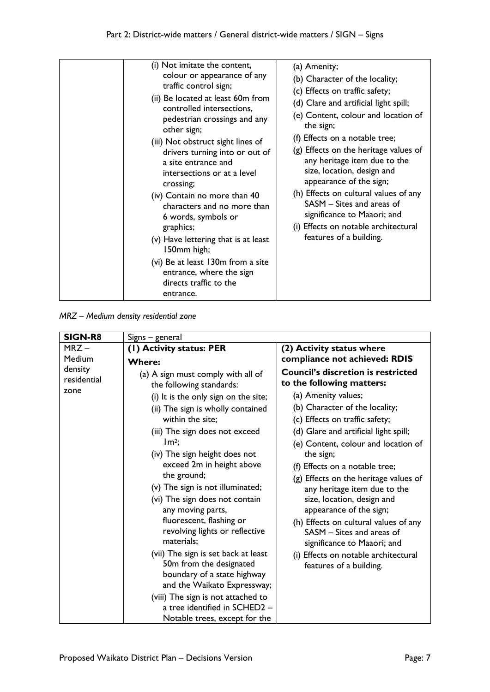*MRZ – Medium density residential zone*

| <b>SIGN-R8</b>                 | Signs – general                                                                                                                                                                                                                                                                                                                                                                                                                                                                                                                                                                                                                                                                                          |                                                                                                                                                                                                                                                                                                                                                                                                                                                                                                                                                                                                            |
|--------------------------------|----------------------------------------------------------------------------------------------------------------------------------------------------------------------------------------------------------------------------------------------------------------------------------------------------------------------------------------------------------------------------------------------------------------------------------------------------------------------------------------------------------------------------------------------------------------------------------------------------------------------------------------------------------------------------------------------------------|------------------------------------------------------------------------------------------------------------------------------------------------------------------------------------------------------------------------------------------------------------------------------------------------------------------------------------------------------------------------------------------------------------------------------------------------------------------------------------------------------------------------------------------------------------------------------------------------------------|
| $MRZ -$                        | (I) Activity status: PER                                                                                                                                                                                                                                                                                                                                                                                                                                                                                                                                                                                                                                                                                 | (2) Activity status where                                                                                                                                                                                                                                                                                                                                                                                                                                                                                                                                                                                  |
| Medium                         | <b>Where:</b>                                                                                                                                                                                                                                                                                                                                                                                                                                                                                                                                                                                                                                                                                            | compliance not achieved: RDIS                                                                                                                                                                                                                                                                                                                                                                                                                                                                                                                                                                              |
| density<br>residential<br>zone | (a) A sign must comply with all of<br>the following standards:<br>(i) It is the only sign on the site;<br>(ii) The sign is wholly contained<br>within the site;<br>(iii) The sign does not exceed<br>$Im2$ ;<br>(iv) The sign height does not<br>exceed 2m in height above<br>the ground;<br>(v) The sign is not illuminated;<br>(vi) The sign does not contain<br>any moving parts,<br>fluorescent, flashing or<br>revolving lights or reflective<br>materials;<br>(vii) The sign is set back at least<br>50m from the designated<br>boundary of a state highway<br>and the Waikato Expressway;<br>(viii) The sign is not attached to<br>a tree identified in SCHED2 -<br>Notable trees, except for the | <b>Council's discretion is restricted</b><br>to the following matters:<br>(a) Amenity values;<br>(b) Character of the locality;<br>(c) Effects on traffic safety;<br>(d) Glare and artificial light spill;<br>(e) Content, colour and location of<br>the sign;<br>(f) Effects on a notable tree;<br>(g) Effects on the heritage values of<br>any heritage item due to the<br>size, location, design and<br>appearance of the sign;<br>(h) Effects on cultural values of any<br>SASM - Sites and areas of<br>significance to Maaori; and<br>(i) Effects on notable architectural<br>features of a building. |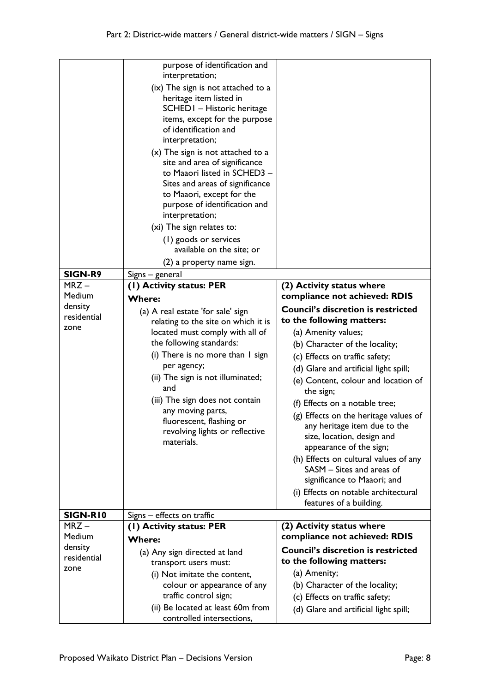| SIGN-R9<br>$MRZ -$<br>Medium<br>density<br>residential<br>zone | purpose of identification and<br>interpretation;<br>(ix) The sign is not attached to a<br>heritage item listed in<br>SCHED I - Historic heritage<br>items, except for the purpose<br>of identification and<br>interpretation;<br>$(x)$ The sign is not attached to a<br>site and area of significance<br>to Maaori listed in SCHED3 -<br>Sites and areas of significance<br>to Maaori, except for the<br>purpose of identification and<br>interpretation;<br>(xi) The sign relates to:<br>(1) goods or services<br>available on the site; or<br>(2) a property name sign.<br>Signs – general<br>(I) Activity status: PER<br><b>Where:</b><br>(a) A real estate 'for sale' sign<br>relating to the site on which it is<br>located must comply with all of<br>the following standards:<br>(i) There is no more than I sign<br>per agency;<br>(ii) The sign is not illuminated;<br>and<br>(iii) The sign does not contain<br>any moving parts,<br>fluorescent, flashing or<br>revolving lights or reflective<br>materials. | (2) Activity status where<br>compliance not achieved: RDIS<br><b>Council's discretion is restricted</b><br>to the following matters:<br>(a) Amenity values;<br>(b) Character of the locality;<br>(c) Effects on traffic safety;<br>(d) Glare and artificial light spill;<br>(e) Content, colour and location of<br>the sign;<br>(f) Effects on a notable tree;<br>(g) Effects on the heritage values of<br>any heritage item due to the<br>size, location, design and<br>appearance of the sign;<br>(h) Effects on cultural values of any<br>SASM - Sites and areas of<br>significance to Maaori; and |
|----------------------------------------------------------------|-------------------------------------------------------------------------------------------------------------------------------------------------------------------------------------------------------------------------------------------------------------------------------------------------------------------------------------------------------------------------------------------------------------------------------------------------------------------------------------------------------------------------------------------------------------------------------------------------------------------------------------------------------------------------------------------------------------------------------------------------------------------------------------------------------------------------------------------------------------------------------------------------------------------------------------------------------------------------------------------------------------------------|-------------------------------------------------------------------------------------------------------------------------------------------------------------------------------------------------------------------------------------------------------------------------------------------------------------------------------------------------------------------------------------------------------------------------------------------------------------------------------------------------------------------------------------------------------------------------------------------------------|
|                                                                |                                                                                                                                                                                                                                                                                                                                                                                                                                                                                                                                                                                                                                                                                                                                                                                                                                                                                                                                                                                                                         | (i) Effects on notable architectural                                                                                                                                                                                                                                                                                                                                                                                                                                                                                                                                                                  |
|                                                                |                                                                                                                                                                                                                                                                                                                                                                                                                                                                                                                                                                                                                                                                                                                                                                                                                                                                                                                                                                                                                         | features of a building.                                                                                                                                                                                                                                                                                                                                                                                                                                                                                                                                                                               |
| SIGN-RIO                                                       | Signs - effects on traffic                                                                                                                                                                                                                                                                                                                                                                                                                                                                                                                                                                                                                                                                                                                                                                                                                                                                                                                                                                                              |                                                                                                                                                                                                                                                                                                                                                                                                                                                                                                                                                                                                       |
| $MRZ -$                                                        | (I) Activity status: PER                                                                                                                                                                                                                                                                                                                                                                                                                                                                                                                                                                                                                                                                                                                                                                                                                                                                                                                                                                                                | (2) Activity status where                                                                                                                                                                                                                                                                                                                                                                                                                                                                                                                                                                             |
| Medium<br>density                                              | <b>Where:</b>                                                                                                                                                                                                                                                                                                                                                                                                                                                                                                                                                                                                                                                                                                                                                                                                                                                                                                                                                                                                           | compliance not achieved: RDIS                                                                                                                                                                                                                                                                                                                                                                                                                                                                                                                                                                         |
| residential                                                    | (a) Any sign directed at land                                                                                                                                                                                                                                                                                                                                                                                                                                                                                                                                                                                                                                                                                                                                                                                                                                                                                                                                                                                           | <b>Council's discretion is restricted</b>                                                                                                                                                                                                                                                                                                                                                                                                                                                                                                                                                             |
| zone                                                           | transport users must:                                                                                                                                                                                                                                                                                                                                                                                                                                                                                                                                                                                                                                                                                                                                                                                                                                                                                                                                                                                                   | to the following matters:                                                                                                                                                                                                                                                                                                                                                                                                                                                                                                                                                                             |
|                                                                | (i) Not imitate the content,                                                                                                                                                                                                                                                                                                                                                                                                                                                                                                                                                                                                                                                                                                                                                                                                                                                                                                                                                                                            | (a) Amenity;                                                                                                                                                                                                                                                                                                                                                                                                                                                                                                                                                                                          |
|                                                                | colour or appearance of any                                                                                                                                                                                                                                                                                                                                                                                                                                                                                                                                                                                                                                                                                                                                                                                                                                                                                                                                                                                             | (b) Character of the locality;                                                                                                                                                                                                                                                                                                                                                                                                                                                                                                                                                                        |
|                                                                | traffic control sign;                                                                                                                                                                                                                                                                                                                                                                                                                                                                                                                                                                                                                                                                                                                                                                                                                                                                                                                                                                                                   | (c) Effects on traffic safety;                                                                                                                                                                                                                                                                                                                                                                                                                                                                                                                                                                        |
|                                                                | (ii) Be located at least 60m from<br>controlled intersections,                                                                                                                                                                                                                                                                                                                                                                                                                                                                                                                                                                                                                                                                                                                                                                                                                                                                                                                                                          | (d) Glare and artificial light spill;                                                                                                                                                                                                                                                                                                                                                                                                                                                                                                                                                                 |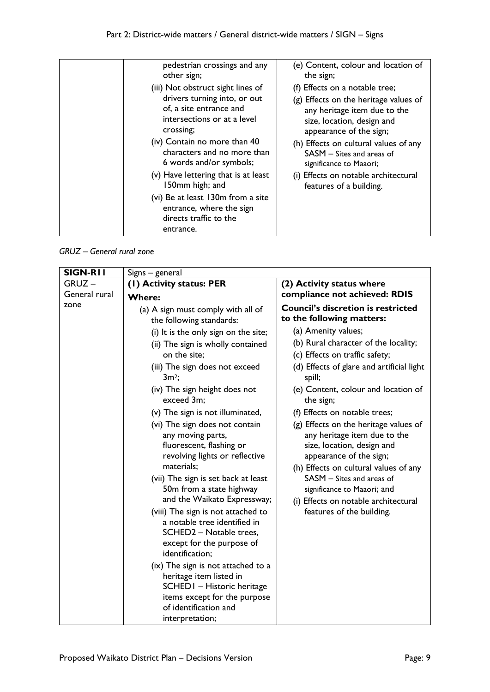| pedestrian crossings and any                                                                         | (e) Content, colour and location of   |
|------------------------------------------------------------------------------------------------------|---------------------------------------|
| other sign;                                                                                          | the sign;                             |
| (iii) Not obstruct sight lines of                                                                    | (f) Effects on a notable tree;        |
| drivers turning into, or out                                                                         | (g) Effects on the heritage values of |
| of, a site entrance and                                                                              | any heritage item due to the          |
| intersections or at a level                                                                          | size, location, design and            |
| crossing;                                                                                            | appearance of the sign;               |
| (iv) Contain no more than 40                                                                         | (h) Effects on cultural values of any |
| characters and no more than                                                                          | $SASM - Sites$ and areas of           |
| 6 words and/or symbols;                                                                              | significance to Maaori;               |
| (v) Have lettering that is at least                                                                  | (i) Effects on notable architectural  |
| 150mm high; and                                                                                      | features of a building.               |
| (vi) Be at least 130m from a site<br>entrance, where the sign<br>directs traffic to the<br>entrance. |                                       |

*GRUZ – General rural zone*

| SIGN-RII      | Signs – general                                                                                                                                                                                                                                                                                                                                                                                                                                                                                         |                                                                                                                                                                                                                                                                                                                                                                                              |
|---------------|---------------------------------------------------------------------------------------------------------------------------------------------------------------------------------------------------------------------------------------------------------------------------------------------------------------------------------------------------------------------------------------------------------------------------------------------------------------------------------------------------------|----------------------------------------------------------------------------------------------------------------------------------------------------------------------------------------------------------------------------------------------------------------------------------------------------------------------------------------------------------------------------------------------|
| $GRUZ -$      | (I) Activity status: PER                                                                                                                                                                                                                                                                                                                                                                                                                                                                                | (2) Activity status where                                                                                                                                                                                                                                                                                                                                                                    |
| General rural | <b>Where:</b>                                                                                                                                                                                                                                                                                                                                                                                                                                                                                           | compliance not achieved: RDIS                                                                                                                                                                                                                                                                                                                                                                |
| zone          | (a) A sign must comply with all of<br>the following standards:<br>(i) It is the only sign on the site;<br>(ii) The sign is wholly contained<br>on the site;<br>(iii) The sign does not exceed<br>$3m^2$ ;<br>(iv) The sign height does not<br>exceed 3m;<br>(v) The sign is not illuminated,<br>(vi) The sign does not contain<br>any moving parts,                                                                                                                                                     | <b>Council's discretion is restricted</b><br>to the following matters:<br>(a) Amenity values;<br>(b) Rural character of the locality;<br>(c) Effects on traffic safety;<br>(d) Effects of glare and artificial light<br>spill;<br>(e) Content, colour and location of<br>the sign;<br>(f) Effects on notable trees;<br>(g) Effects on the heritage values of<br>any heritage item due to the |
|               | fluorescent, flashing or<br>revolving lights or reflective<br>materials;<br>(vii) The sign is set back at least<br>50m from a state highway<br>and the Waikato Expressway;<br>(viii) The sign is not attached to<br>a notable tree identified in<br>SCHED2 - Notable trees,<br>except for the purpose of<br>identification;<br>(ix) The sign is not attached to a<br>heritage item listed in<br>SCHED I - Historic heritage<br>items except for the purpose<br>of identification and<br>interpretation; | size, location, design and<br>appearance of the sign;<br>(h) Effects on cultural values of any<br>SASM - Sites and areas of<br>significance to Maaori; and<br>(i) Effects on notable architectural<br>features of the building.                                                                                                                                                              |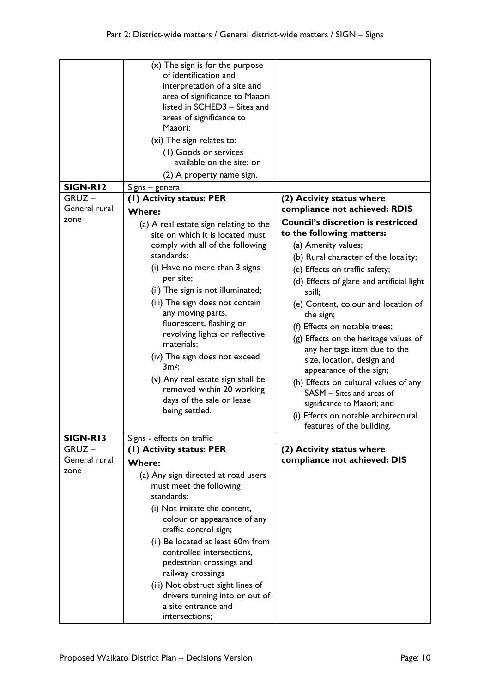| SIGN-R12<br>$GRUZ -$<br>General rural<br>zone | (x) The sign is for the purpose<br>of identification and<br>interpretation of a site and<br>area of significance to Maaori<br>listed in SCHED3 - Sites and<br>areas of significance to<br>Maaori;<br>(xi) The sign relates to:<br>(1) Goods or services<br>available on the site; or<br>(2) A property name sign.<br>Signs – general<br>(1) Activity status: PER<br><b>Where:</b><br>(a) A real estate sign relating to the<br>site on which it is located must | (2) Activity status where<br>compliance not achieved: RDIS<br><b>Council's discretion is restricted</b><br>to the following matters: |
|-----------------------------------------------|-----------------------------------------------------------------------------------------------------------------------------------------------------------------------------------------------------------------------------------------------------------------------------------------------------------------------------------------------------------------------------------------------------------------------------------------------------------------|--------------------------------------------------------------------------------------------------------------------------------------|
|                                               |                                                                                                                                                                                                                                                                                                                                                                                                                                                                 |                                                                                                                                      |
|                                               | comply with all of the following<br>standards:                                                                                                                                                                                                                                                                                                                                                                                                                  | (a) Amenity values;                                                                                                                  |
|                                               | (i) Have no more than 3 signs                                                                                                                                                                                                                                                                                                                                                                                                                                   | (b) Rural character of the locality;                                                                                                 |
|                                               | per site;                                                                                                                                                                                                                                                                                                                                                                                                                                                       | (c) Effects on traffic safety;<br>(d) Effects of glare and artificial light                                                          |
|                                               | (ii) The sign is not illuminated;                                                                                                                                                                                                                                                                                                                                                                                                                               | spill;                                                                                                                               |
|                                               | (iii) The sign does not contain                                                                                                                                                                                                                                                                                                                                                                                                                                 | (e) Content, colour and location of                                                                                                  |
|                                               | any moving parts,                                                                                                                                                                                                                                                                                                                                                                                                                                               | the sign;                                                                                                                            |
|                                               | fluorescent, flashing or<br>revolving lights or reflective                                                                                                                                                                                                                                                                                                                                                                                                      | (f) Effects on notable trees;                                                                                                        |
|                                               | materials;                                                                                                                                                                                                                                                                                                                                                                                                                                                      | (g) Effects on the heritage values of                                                                                                |
|                                               | (iv) The sign does not exceed                                                                                                                                                                                                                                                                                                                                                                                                                                   | any heritage item due to the<br>size, location, design and                                                                           |
|                                               | $3m^2$ ;                                                                                                                                                                                                                                                                                                                                                                                                                                                        | appearance of the sign;                                                                                                              |
|                                               | (v) Any real estate sign shall be<br>removed within 20 working                                                                                                                                                                                                                                                                                                                                                                                                  | (h) Effects on cultural values of any                                                                                                |
|                                               | days of the sale or lease                                                                                                                                                                                                                                                                                                                                                                                                                                       | SASM - Sites and areas of                                                                                                            |
|                                               | being settled.                                                                                                                                                                                                                                                                                                                                                                                                                                                  | significance to Maaori; and                                                                                                          |
|                                               |                                                                                                                                                                                                                                                                                                                                                                                                                                                                 | (i) Effects on notable architectural<br>features of the building.                                                                    |
| SIGN-R13                                      | Signs - effects on traffic                                                                                                                                                                                                                                                                                                                                                                                                                                      |                                                                                                                                      |
| $GRUZ -$                                      | (I) Activity status: PER                                                                                                                                                                                                                                                                                                                                                                                                                                        | (2) Activity status where                                                                                                            |
| General rural                                 | <b>Where:</b>                                                                                                                                                                                                                                                                                                                                                                                                                                                   | compliance not achieved: DIS                                                                                                         |
| zone                                          | (a) Any sign directed at road users                                                                                                                                                                                                                                                                                                                                                                                                                             |                                                                                                                                      |
|                                               | must meet the following<br>standards:                                                                                                                                                                                                                                                                                                                                                                                                                           |                                                                                                                                      |
|                                               | (i) Not imitate the content,                                                                                                                                                                                                                                                                                                                                                                                                                                    |                                                                                                                                      |
|                                               | colour or appearance of any<br>traffic control sign;                                                                                                                                                                                                                                                                                                                                                                                                            |                                                                                                                                      |
|                                               | (ii) Be located at least 60m from<br>controlled intersections,<br>pedestrian crossings and<br>railway crossings                                                                                                                                                                                                                                                                                                                                                 |                                                                                                                                      |
|                                               | (iii) Not obstruct sight lines of<br>drivers turning into or out of<br>a site entrance and                                                                                                                                                                                                                                                                                                                                                                      |                                                                                                                                      |
|                                               | intersections;                                                                                                                                                                                                                                                                                                                                                                                                                                                  |                                                                                                                                      |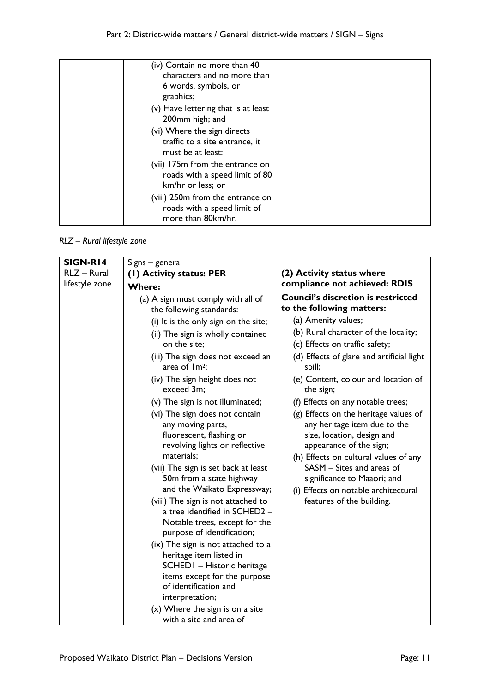| (iv) Contain no more than 40<br>characters and no more than<br>6 words, symbols, or<br>graphics; |  |
|--------------------------------------------------------------------------------------------------|--|
| (v) Have lettering that is at least<br>200mm high; and                                           |  |
| (vi) Where the sign directs<br>traffic to a site entrance, it<br>must be at least:               |  |
| (vii) 175m from the entrance on<br>roads with a speed limit of 80<br>km/hr or less; or           |  |
| (viii) 250m from the entrance on<br>roads with a speed limit of<br>more than 80km/hr.            |  |

*RLZ – Rural lifestyle zone*

| SIGN-R14       | Signs – general                                                                                                                                                                                                                                                         |                                                                                                                                                                                                                                                                                                          |
|----------------|-------------------------------------------------------------------------------------------------------------------------------------------------------------------------------------------------------------------------------------------------------------------------|----------------------------------------------------------------------------------------------------------------------------------------------------------------------------------------------------------------------------------------------------------------------------------------------------------|
| RLZ - Rural    | (1) Activity status: PER                                                                                                                                                                                                                                                | (2) Activity status where                                                                                                                                                                                                                                                                                |
| lifestyle zone | <b>Where:</b>                                                                                                                                                                                                                                                           | compliance not achieved: RDIS                                                                                                                                                                                                                                                                            |
|                | (a) A sign must comply with all of<br>the following standards:                                                                                                                                                                                                          | <b>Council's discretion is restricted</b><br>to the following matters:                                                                                                                                                                                                                                   |
|                | (i) It is the only sign on the site;                                                                                                                                                                                                                                    | (a) Amenity values;                                                                                                                                                                                                                                                                                      |
|                | (ii) The sign is wholly contained<br>on the site;                                                                                                                                                                                                                       | (b) Rural character of the locality;<br>(c) Effects on traffic safety;                                                                                                                                                                                                                                   |
|                | (iii) The sign does not exceed an<br>area of $Im2$ ;                                                                                                                                                                                                                    | (d) Effects of glare and artificial light<br>spill;                                                                                                                                                                                                                                                      |
|                | (iv) The sign height does not<br>exceed 3m;                                                                                                                                                                                                                             | (e) Content, colour and location of<br>the sign;                                                                                                                                                                                                                                                         |
|                | (v) The sign is not illuminated;                                                                                                                                                                                                                                        | (f) Effects on any notable trees;                                                                                                                                                                                                                                                                        |
|                | (vi) The sign does not contain<br>any moving parts,<br>fluorescent, flashing or<br>revolving lights or reflective<br>materials;<br>(vii) The sign is set back at least<br>50m from a state highway<br>and the Waikato Expressway;<br>(viii) The sign is not attached to | (g) Effects on the heritage values of<br>any heritage item due to the<br>size, location, design and<br>appearance of the sign;<br>(h) Effects on cultural values of any<br>SASM - Sites and areas of<br>significance to Maaori; and<br>(i) Effects on notable architectural<br>features of the building. |
|                | a tree identified in SCHED2 -<br>Notable trees, except for the<br>purpose of identification;                                                                                                                                                                            |                                                                                                                                                                                                                                                                                                          |
|                | (ix) The sign is not attached to a<br>heritage item listed in<br>SCHEDI - Historic heritage<br>items except for the purpose<br>of identification and<br>interpretation;                                                                                                 |                                                                                                                                                                                                                                                                                                          |
|                | $(x)$ Where the sign is on a site<br>with a site and area of                                                                                                                                                                                                            |                                                                                                                                                                                                                                                                                                          |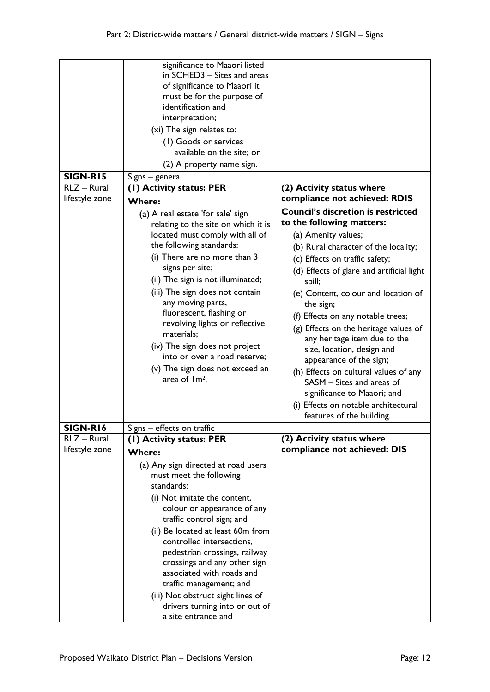| significance to Maaori listed<br>in SCHED3 - Sites and areas                   |  |
|--------------------------------------------------------------------------------|--|
| of significance to Maaori it                                                   |  |
| must be for the purpose of                                                     |  |
| identification and                                                             |  |
| interpretation;                                                                |  |
| (xi) The sign relates to:                                                      |  |
| (1) Goods or services                                                          |  |
| available on the site; or                                                      |  |
| (2) A property name sign.                                                      |  |
| <b>SIGN-R15</b><br>Signs – general                                             |  |
| RLZ - Rural<br>(I) Activity status: PER<br>(2) Activity status where           |  |
| lifestyle zone<br>compliance not achieved: RDIS<br><b>Where:</b>               |  |
| <b>Council's discretion is restricted</b><br>(a) A real estate 'for sale' sign |  |
| to the following matters:<br>relating to the site on which it is               |  |
| located must comply with all of<br>(a) Amenity values;                         |  |
| the following standards:<br>(b) Rural character of the locality;               |  |
| (i) There are no more than 3                                                   |  |
| (c) Effects on traffic safety;<br>signs per site;                              |  |
| (d) Effects of glare and artificial light                                      |  |
| (ii) The sign is not illuminated;<br>spill;                                    |  |
| (iii) The sign does not contain<br>(e) Content, colour and location of         |  |
| any moving parts,<br>the sign;                                                 |  |
| fluorescent, flashing or<br>(f) Effects on any notable trees;                  |  |
| revolving lights or reflective<br>(g) Effects on the heritage values of        |  |
| materials;<br>any heritage item due to the                                     |  |
| (iv) The sign does not project<br>size, location, design and                   |  |
| into or over a road reserve;<br>appearance of the sign;                        |  |
| (v) The sign does not exceed an<br>(h) Effects on cultural values of any       |  |
| area of Im <sup>2</sup> .<br>SASM - Sites and areas of                         |  |
| significance to Maaori; and                                                    |  |
| (i) Effects on notable architectural                                           |  |
| features of the building.                                                      |  |
| <b>SIGN-R16</b><br>Signs - effects on traffic                                  |  |
| RLZ - Rural<br>(1) Activity status: PER<br>(2) Activity status where           |  |
| lifestyle zone<br>compliance not achieved: DIS<br><b>Where:</b>                |  |
| (a) Any sign directed at road users                                            |  |
| must meet the following                                                        |  |
| standards:                                                                     |  |
| (i) Not imitate the content,                                                   |  |
| colour or appearance of any                                                    |  |
| traffic control sign; and                                                      |  |
| (ii) Be located at least 60m from                                              |  |
| controlled intersections,                                                      |  |
| pedestrian crossings, railway                                                  |  |
| crossings and any other sign                                                   |  |
|                                                                                |  |
|                                                                                |  |
| associated with roads and                                                      |  |
| traffic management; and                                                        |  |
| (iii) Not obstruct sight lines of<br>drivers turning into or out of            |  |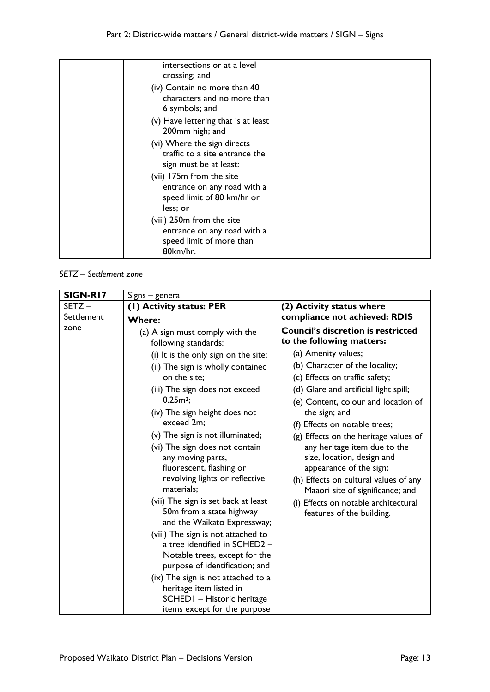| intersections or at a level<br>crossing; and                                                      |  |
|---------------------------------------------------------------------------------------------------|--|
| (iv) Contain no more than 40<br>characters and no more than<br>6 symbols; and                     |  |
| (v) Have lettering that is at least<br>200mm high; and                                            |  |
| (vi) Where the sign directs<br>traffic to a site entrance the<br>sign must be at least:           |  |
| (vii) 175m from the site<br>entrance on any road with a<br>speed limit of 80 km/hr or<br>less; or |  |
| (viii) 250m from the site<br>entrance on any road with a<br>speed limit of more than<br>80km/hr.  |  |

#### *SETZ – Settlement zone*

| Signs – general                                                                                                                                                                                                                                                                                                                                                                                                                                                                                                                                                                                                                                                                                                                                                        |                                                                                                                                                                                                                                                                                                                                                                                                                                                                                                                                                                                         |
|------------------------------------------------------------------------------------------------------------------------------------------------------------------------------------------------------------------------------------------------------------------------------------------------------------------------------------------------------------------------------------------------------------------------------------------------------------------------------------------------------------------------------------------------------------------------------------------------------------------------------------------------------------------------------------------------------------------------------------------------------------------------|-----------------------------------------------------------------------------------------------------------------------------------------------------------------------------------------------------------------------------------------------------------------------------------------------------------------------------------------------------------------------------------------------------------------------------------------------------------------------------------------------------------------------------------------------------------------------------------------|
| (I) Activity status: PER                                                                                                                                                                                                                                                                                                                                                                                                                                                                                                                                                                                                                                                                                                                                               | (2) Activity status where                                                                                                                                                                                                                                                                                                                                                                                                                                                                                                                                                               |
| <b>Where:</b>                                                                                                                                                                                                                                                                                                                                                                                                                                                                                                                                                                                                                                                                                                                                                          | compliance not achieved: RDIS                                                                                                                                                                                                                                                                                                                                                                                                                                                                                                                                                           |
| (a) A sign must comply with the<br>following standards:<br>(i) It is the only sign on the site;<br>(ii) The sign is wholly contained<br>on the site;<br>(iii) The sign does not exceed<br>$0.25m2$ ;<br>(iv) The sign height does not<br>exceed 2m;<br>(v) The sign is not illuminated;<br>(vi) The sign does not contain<br>any moving parts,<br>fluorescent, flashing or<br>revolving lights or reflective<br>materials;<br>(vii) The sign is set back at least<br>50m from a state highway<br>and the Waikato Expressway;<br>(viii) The sign is not attached to<br>a tree identified in SCHED2 -<br>Notable trees, except for the<br>purpose of identification; and<br>(ix) The sign is not attached to a<br>heritage item listed in<br>SCHED I - Historic heritage | <b>Council's discretion is restricted</b><br>to the following matters:<br>(a) Amenity values;<br>(b) Character of the locality;<br>(c) Effects on traffic safety;<br>(d) Glare and artificial light spill;<br>(e) Content, colour and location of<br>the sign; and<br>(f) Effects on notable trees;<br>(g) Effects on the heritage values of<br>any heritage item due to the<br>size, location, design and<br>appearance of the sign;<br>(h) Effects on cultural values of any<br>Maaori site of significance; and<br>(i) Effects on notable architectural<br>features of the building. |
|                                                                                                                                                                                                                                                                                                                                                                                                                                                                                                                                                                                                                                                                                                                                                                        | items except for the purpose                                                                                                                                                                                                                                                                                                                                                                                                                                                                                                                                                            |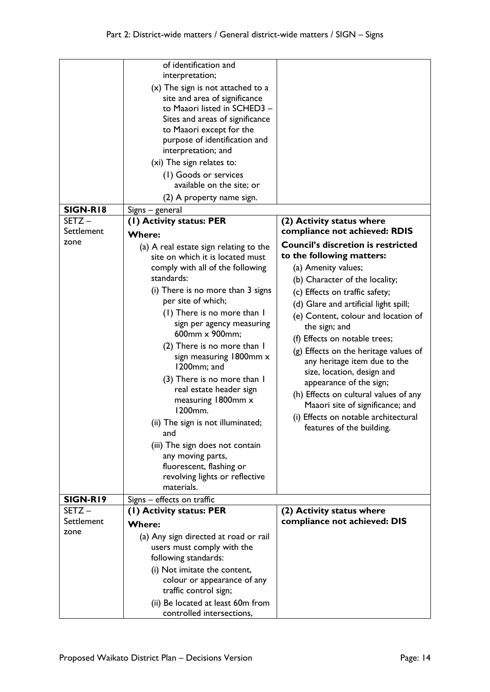|                  | of identification and<br>interpretation;<br>$(x)$ The sign is not attached to a<br>site and area of significance<br>to Maaori listed in SCHED3 -<br>Sites and areas of significance<br>to Maaori except for the<br>purpose of identification and<br>interpretation; and<br>(xi) The sign relates to:<br>(1) Goods or services<br>available on the site; or<br>(2) A property name sign.                                                                                                                                                                                                                                                                 |                                                                                                                                                                                                                                                                                                                                                                                                                                                                                                                                                                                         |
|------------------|---------------------------------------------------------------------------------------------------------------------------------------------------------------------------------------------------------------------------------------------------------------------------------------------------------------------------------------------------------------------------------------------------------------------------------------------------------------------------------------------------------------------------------------------------------------------------------------------------------------------------------------------------------|-----------------------------------------------------------------------------------------------------------------------------------------------------------------------------------------------------------------------------------------------------------------------------------------------------------------------------------------------------------------------------------------------------------------------------------------------------------------------------------------------------------------------------------------------------------------------------------------|
| <b>SIGN-R18</b>  | Signs – general                                                                                                                                                                                                                                                                                                                                                                                                                                                                                                                                                                                                                                         |                                                                                                                                                                                                                                                                                                                                                                                                                                                                                                                                                                                         |
| SETZ-            | (1) Activity status: PER                                                                                                                                                                                                                                                                                                                                                                                                                                                                                                                                                                                                                                | (2) Activity status where                                                                                                                                                                                                                                                                                                                                                                                                                                                                                                                                                               |
| Settlement       | <b>Where:</b>                                                                                                                                                                                                                                                                                                                                                                                                                                                                                                                                                                                                                                           | compliance not achieved: RDIS                                                                                                                                                                                                                                                                                                                                                                                                                                                                                                                                                           |
| zone<br>SIGN-R19 | (a) A real estate sign relating to the<br>site on which it is located must<br>comply with all of the following<br>standards:<br>(i) There is no more than 3 signs<br>per site of which;<br>(1) There is no more than I<br>sign per agency measuring<br>600mm x 900mm;<br>(2) There is no more than I<br>sign measuring 1800mm x<br>1200mm; and<br>(3) There is no more than I<br>real estate header sign<br>measuring 1800mm x<br>1200mm.<br>(ii) The sign is not illuminated;<br>and<br>(iii) The sign does not contain<br>any moving parts,<br>fluorescent, flashing or<br>revolving lights or reflective<br>materials.<br>Signs - effects on traffic | <b>Council's discretion is restricted</b><br>to the following matters:<br>(a) Amenity values;<br>(b) Character of the locality;<br>(c) Effects on traffic safety;<br>(d) Glare and artificial light spill;<br>(e) Content, colour and location of<br>the sign; and<br>(f) Effects on notable trees;<br>(g) Effects on the heritage values of<br>any heritage item due to the<br>size, location, design and<br>appearance of the sign;<br>(h) Effects on cultural values of any<br>Maaori site of significance; and<br>(i) Effects on notable architectural<br>features of the building. |
| SETZ-            | (1) Activity status: PER                                                                                                                                                                                                                                                                                                                                                                                                                                                                                                                                                                                                                                | (2) Activity status where                                                                                                                                                                                                                                                                                                                                                                                                                                                                                                                                                               |
| Settlement       | <b>Where:</b>                                                                                                                                                                                                                                                                                                                                                                                                                                                                                                                                                                                                                                           | compliance not achieved: DIS                                                                                                                                                                                                                                                                                                                                                                                                                                                                                                                                                            |
| zone             |                                                                                                                                                                                                                                                                                                                                                                                                                                                                                                                                                                                                                                                         |                                                                                                                                                                                                                                                                                                                                                                                                                                                                                                                                                                                         |
|                  | (a) Any sign directed at road or rail<br>users must comply with the<br>following standards:<br>(i) Not imitate the content,<br>colour or appearance of any<br>traffic control sign;                                                                                                                                                                                                                                                                                                                                                                                                                                                                     |                                                                                                                                                                                                                                                                                                                                                                                                                                                                                                                                                                                         |
|                  | (ii) Be located at least 60m from<br>controlled intersections,                                                                                                                                                                                                                                                                                                                                                                                                                                                                                                                                                                                          |                                                                                                                                                                                                                                                                                                                                                                                                                                                                                                                                                                                         |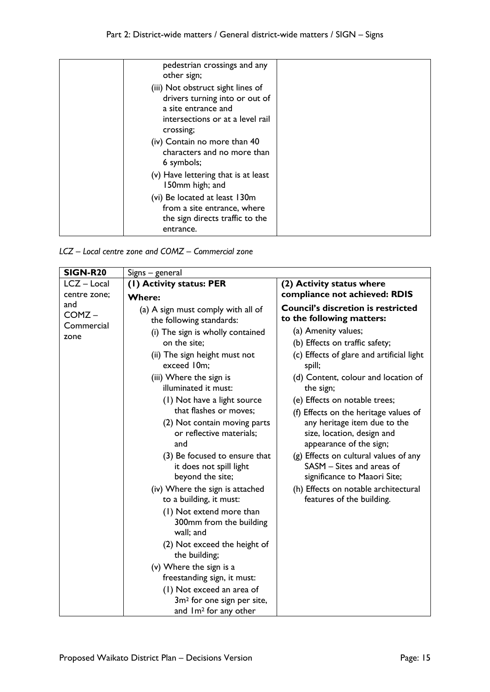| pedestrian crossings and any<br>other sign;                                                                                                 |  |
|---------------------------------------------------------------------------------------------------------------------------------------------|--|
| (iii) Not obstruct sight lines of<br>drivers turning into or out of<br>a site entrance and<br>intersections or at a level rail<br>crossing; |  |
| (iv) Contain no more than 40<br>characters and no more than<br>6 symbols;                                                                   |  |
| (v) Have lettering that is at least<br>150mm high; and                                                                                      |  |
| (vi) Be located at least 130m<br>from a site entrance, where<br>the sign directs traffic to the<br>entrance.                                |  |

*LCZ – Local centre zone and COMZ – Commercial zone*

| <b>SIGN-R20</b>                         | Signs - general                                                                                                                                                                                                                                                                                                                                                                                                                                                                                                                                                                                                                                                                                                                                       |                                                                                                                                                                                                                                                                                                                                                                                                                                                                                                                                                                                          |
|-----------------------------------------|-------------------------------------------------------------------------------------------------------------------------------------------------------------------------------------------------------------------------------------------------------------------------------------------------------------------------------------------------------------------------------------------------------------------------------------------------------------------------------------------------------------------------------------------------------------------------------------------------------------------------------------------------------------------------------------------------------------------------------------------------------|------------------------------------------------------------------------------------------------------------------------------------------------------------------------------------------------------------------------------------------------------------------------------------------------------------------------------------------------------------------------------------------------------------------------------------------------------------------------------------------------------------------------------------------------------------------------------------------|
| LCZ - Local<br>(1) Activity status: PER |                                                                                                                                                                                                                                                                                                                                                                                                                                                                                                                                                                                                                                                                                                                                                       | (2) Activity status where                                                                                                                                                                                                                                                                                                                                                                                                                                                                                                                                                                |
| centre zone;<br><b>Where:</b>           |                                                                                                                                                                                                                                                                                                                                                                                                                                                                                                                                                                                                                                                                                                                                                       | compliance not achieved: RDIS                                                                                                                                                                                                                                                                                                                                                                                                                                                                                                                                                            |
| and<br>COMZ-<br>Commercial<br>zone      | (a) A sign must comply with all of<br>the following standards:<br>(i) The sign is wholly contained<br>on the site;<br>(ii) The sign height must not<br>exceed 10m;<br>(iii) Where the sign is<br>illuminated it must:<br>(1) Not have a light source<br>that flashes or moves;<br>(2) Not contain moving parts<br>or reflective materials;<br>and<br>(3) Be focused to ensure that<br>it does not spill light<br>beyond the site;<br>(iv) Where the sign is attached<br>to a building, it must:<br>(1) Not extend more than<br>300mm from the building<br>wall; and<br>(2) Not exceed the height of<br>the building;<br>(v) Where the sign is a<br>freestanding sign, it must:<br>(1) Not exceed an area of<br>3m <sup>2</sup> for one sign per site, | <b>Council's discretion is restricted</b><br>to the following matters:<br>(a) Amenity values;<br>(b) Effects on traffic safety;<br>(c) Effects of glare and artificial light<br>spill;<br>(d) Content, colour and location of<br>the sign;<br>(e) Effects on notable trees;<br>(f) Effects on the heritage values of<br>any heritage item due to the<br>size, location, design and<br>appearance of the sign;<br>(g) Effects on cultural values of any<br>SASM - Sites and areas of<br>significance to Maaori Site;<br>(h) Effects on notable architectural<br>features of the building. |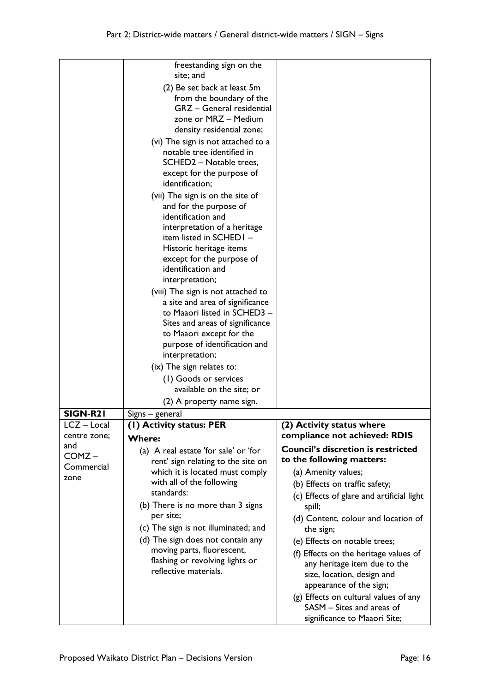|                     | freestanding sign on the<br>site; and                                                                                                                                                                                                                                                                                                                                                                                                                                                                                                                       |                                                                                                                                                                                                                                                                                                                                                                                                                                           |
|---------------------|-------------------------------------------------------------------------------------------------------------------------------------------------------------------------------------------------------------------------------------------------------------------------------------------------------------------------------------------------------------------------------------------------------------------------------------------------------------------------------------------------------------------------------------------------------------|-------------------------------------------------------------------------------------------------------------------------------------------------------------------------------------------------------------------------------------------------------------------------------------------------------------------------------------------------------------------------------------------------------------------------------------------|
|                     | (2) Be set back at least 5m<br>from the boundary of the<br>GRZ - General residential<br>zone or MRZ - Medium<br>density residential zone;                                                                                                                                                                                                                                                                                                                                                                                                                   |                                                                                                                                                                                                                                                                                                                                                                                                                                           |
|                     | (vi) The sign is not attached to a<br>notable tree identified in<br>SCHED2 - Notable trees,<br>except for the purpose of<br>identification;                                                                                                                                                                                                                                                                                                                                                                                                                 |                                                                                                                                                                                                                                                                                                                                                                                                                                           |
|                     | (vii) The sign is on the site of<br>and for the purpose of<br>identification and<br>interpretation of a heritage<br>item listed in SCHEDI -<br>Historic heritage items<br>except for the purpose of<br>identification and<br>interpretation;<br>(viii) The sign is not attached to<br>a site and area of significance<br>to Maaori listed in SCHED3 -<br>Sites and areas of significance<br>to Maaori except for the<br>purpose of identification and<br>interpretation;<br>(ix) The sign relates to:<br>(1) Goods or services<br>available on the site; or |                                                                                                                                                                                                                                                                                                                                                                                                                                           |
|                     | (2) A property name sign.                                                                                                                                                                                                                                                                                                                                                                                                                                                                                                                                   |                                                                                                                                                                                                                                                                                                                                                                                                                                           |
| SIGN-R21            | Signs – general                                                                                                                                                                                                                                                                                                                                                                                                                                                                                                                                             |                                                                                                                                                                                                                                                                                                                                                                                                                                           |
| LCZ - Local         | (I) Activity status: PER                                                                                                                                                                                                                                                                                                                                                                                                                                                                                                                                    | (2) Activity status where                                                                                                                                                                                                                                                                                                                                                                                                                 |
| centre zone;<br>and | <b>Where:</b>                                                                                                                                                                                                                                                                                                                                                                                                                                                                                                                                               | compliance not achieved: RDIS                                                                                                                                                                                                                                                                                                                                                                                                             |
| COMZ-               | (a) A real estate 'for sale' or 'for                                                                                                                                                                                                                                                                                                                                                                                                                                                                                                                        | <b>Council's discretion is restricted</b><br>to the following matters:                                                                                                                                                                                                                                                                                                                                                                    |
| Commercial<br>zone  | rent' sign relating to the site on<br>which it is located must comply<br>with all of the following<br>standards:<br>(b) There is no more than 3 signs<br>per site;<br>(c) The sign is not illuminated; and<br>(d) The sign does not contain any<br>moving parts, fluorescent,<br>flashing or revolving lights or<br>reflective materials.                                                                                                                                                                                                                   | (a) Amenity values;<br>(b) Effects on traffic safety;<br>(c) Effects of glare and artificial light<br>spill;<br>(d) Content, colour and location of<br>the sign;<br>(e) Effects on notable trees;<br>(f) Effects on the heritage values of<br>any heritage item due to the<br>size, location, design and<br>appearance of the sign;<br>(g) Effects on cultural values of any<br>SASM - Sites and areas of<br>significance to Maaori Site; |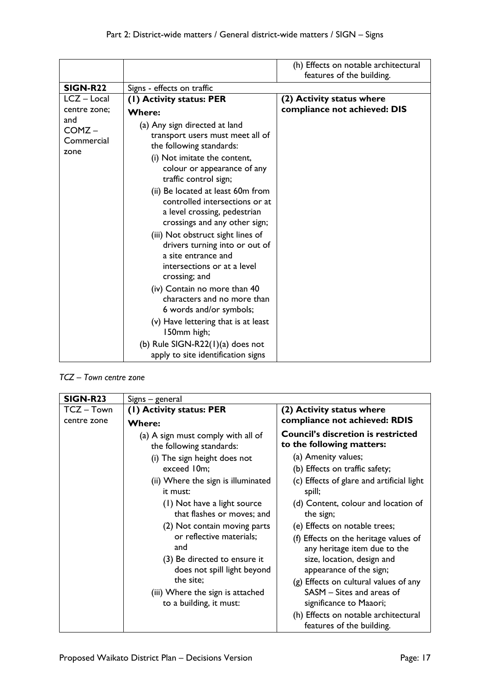|                                       |                                                                                                                                                                                                                                                                                                                                                                                                                                                                                                                                                                                                                             | (h) Effects on notable architectural<br>features of the building. |
|---------------------------------------|-----------------------------------------------------------------------------------------------------------------------------------------------------------------------------------------------------------------------------------------------------------------------------------------------------------------------------------------------------------------------------------------------------------------------------------------------------------------------------------------------------------------------------------------------------------------------------------------------------------------------------|-------------------------------------------------------------------|
| <b>SIGN-R22</b>                       | Signs - effects on traffic                                                                                                                                                                                                                                                                                                                                                                                                                                                                                                                                                                                                  |                                                                   |
| $LCZ - Local$                         | (1) Activity status: PER                                                                                                                                                                                                                                                                                                                                                                                                                                                                                                                                                                                                    | (2) Activity status where                                         |
| centre zone;                          | <b>Where:</b>                                                                                                                                                                                                                                                                                                                                                                                                                                                                                                                                                                                                               | compliance not achieved: DIS                                      |
| and<br>$COMZ -$<br>Commercial<br>zone | (a) Any sign directed at land<br>transport users must meet all of<br>the following standards:<br>(i) Not imitate the content,<br>colour or appearance of any<br>traffic control sign;<br>(ii) Be located at least 60m from<br>controlled intersections or at<br>a level crossing, pedestrian<br>crossings and any other sign;<br>(iii) Not obstruct sight lines of<br>drivers turning into or out of<br>a site entrance and<br>intersections or at a level<br>crossing; and<br>(iv) Contain no more than 40<br>characters and no more than<br>6 words and/or symbols;<br>(v) Have lettering that is at least<br>150mm high; |                                                                   |
|                                       | (b) Rule SIGN-R22 $(1)(a)$ does not<br>apply to site identification signs                                                                                                                                                                                                                                                                                                                                                                                                                                                                                                                                                   |                                                                   |

*TCZ – Town centre zone* 

| <b>SIGN-R23</b> | Signs – general                                                                                |                                                                                                                                |
|-----------------|------------------------------------------------------------------------------------------------|--------------------------------------------------------------------------------------------------------------------------------|
| TCZ-Town        | (1) Activity status: PER                                                                       | (2) Activity status where                                                                                                      |
| centre zone     | <b>Where:</b>                                                                                  | compliance not achieved: RDIS                                                                                                  |
|                 | (a) A sign must comply with all of<br>the following standards:                                 | <b>Council's discretion is restricted</b><br>to the following matters:                                                         |
|                 | (i) The sign height does not                                                                   | (a) Amenity values;                                                                                                            |
|                 | exceed 10m;                                                                                    | (b) Effects on traffic safety;                                                                                                 |
|                 | (ii) Where the sign is illuminated<br>it must:                                                 | (c) Effects of glare and artificial light<br>spill;                                                                            |
|                 | (1) Not have a light source<br>that flashes or moves; and                                      | (d) Content, colour and location of<br>the sign;                                                                               |
|                 | (2) Not contain moving parts                                                                   | (e) Effects on notable trees;                                                                                                  |
|                 | or reflective materials;<br>and<br>(3) Be directed to ensure it<br>does not spill light beyond | (f) Effects on the heritage values of<br>any heritage item due to the<br>size, location, design and<br>appearance of the sign; |
|                 | the site;<br>(iii) Where the sign is attached<br>to a building, it must:                       | (g) Effects on cultural values of any<br>SASM – Sites and areas of<br>significance to Maaori;                                  |
|                 |                                                                                                | (h) Effects on notable architectural<br>features of the building.                                                              |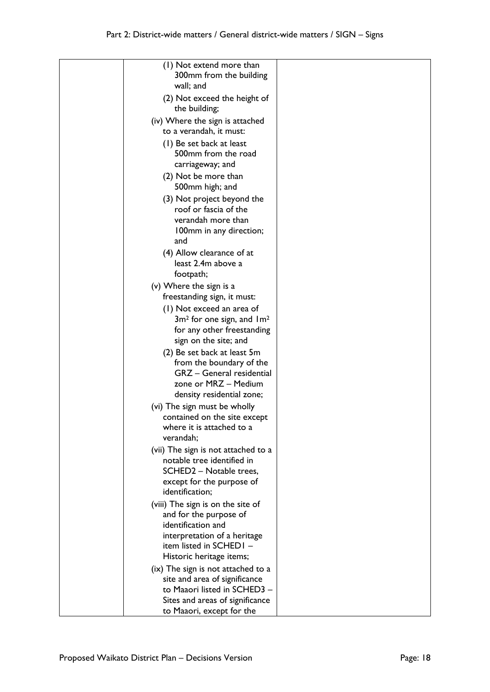| (1) Not extend more than<br>300mm from the building<br>wall; and |  |
|------------------------------------------------------------------|--|
| (2) Not exceed the height of                                     |  |
| the building;<br>(iv) Where the sign is attached                 |  |
| to a verandah, it must:                                          |  |
| (1) Be set back at least                                         |  |
| 500mm from the road                                              |  |
| carriageway; and                                                 |  |
| (2) Not be more than                                             |  |
| 500mm high; and                                                  |  |
| (3) Not project beyond the                                       |  |
| roof or fascia of the                                            |  |
| verandah more than                                               |  |
| 100mm in any direction;<br>and                                   |  |
| (4) Allow clearance of at                                        |  |
| least 2.4m above a                                               |  |
| footpath;                                                        |  |
| (v) Where the sign is a                                          |  |
| freestanding sign, it must:                                      |  |
| (1) Not exceed an area of                                        |  |
| $3m2$ for one sign, and $1m2$<br>for any other freestanding      |  |
| sign on the site; and                                            |  |
| (2) Be set back at least 5m                                      |  |
| from the boundary of the                                         |  |
| GRZ - General residential                                        |  |
| zone or MRZ - Medium                                             |  |
| density residential zone;                                        |  |
| (vi) The sign must be wholly                                     |  |
| contained on the site except<br>where it is attached to a        |  |
| verandah;                                                        |  |
| (vii) The sign is not attached to a                              |  |
| notable tree identified in                                       |  |
| SCHED2 - Notable trees,                                          |  |
| except for the purpose of                                        |  |
| identification;                                                  |  |
| (viii) The sign is on the site of                                |  |
| and for the purpose of                                           |  |
| identification and<br>interpretation of a heritage               |  |
| item listed in SCHEDI-                                           |  |
| Historic heritage items;                                         |  |
| (ix) The sign is not attached to a                               |  |
| site and area of significance                                    |  |
| to Maaori listed in SCHED3 -                                     |  |
| Sites and areas of significance                                  |  |
| to Maaori, except for the                                        |  |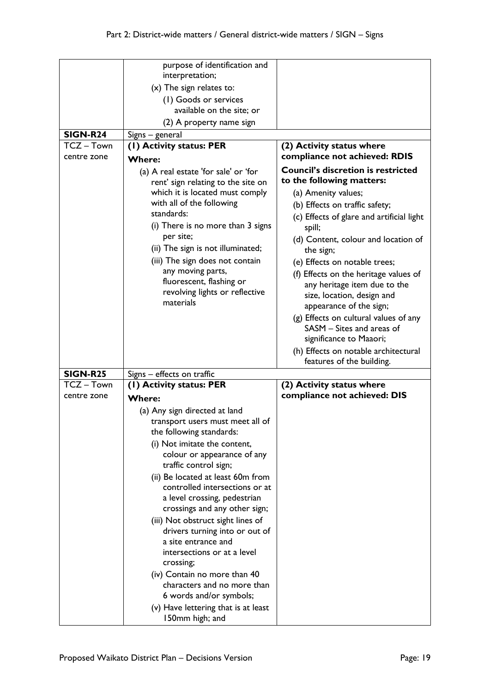|                 | purpose of identification and<br>interpretation;               |                                                                       |
|-----------------|----------------------------------------------------------------|-----------------------------------------------------------------------|
|                 | $(x)$ The sign relates to:                                     |                                                                       |
|                 | (I) Goods or services                                          |                                                                       |
|                 | available on the site; or                                      |                                                                       |
|                 | (2) A property name sign                                       |                                                                       |
| <b>SIGN-R24</b> |                                                                |                                                                       |
| TCZ-Town        | Signs – general<br>(I) Activity status: PER                    | (2) Activity status where                                             |
| centre zone     |                                                                | compliance not achieved: RDIS                                         |
|                 | <b>Where:</b>                                                  | <b>Council's discretion is restricted</b>                             |
|                 | (a) A real estate 'for sale' or 'for                           | to the following matters:                                             |
|                 | rent' sign relating to the site on                             |                                                                       |
|                 | which it is located must comply<br>with all of the following   | (a) Amenity values;                                                   |
|                 | standards:                                                     | (b) Effects on traffic safety;                                        |
|                 | (i) There is no more than 3 signs                              | (c) Effects of glare and artificial light                             |
|                 | per site;                                                      | spill;                                                                |
|                 | (ii) The sign is not illuminated;                              | (d) Content, colour and location of<br>the sign;                      |
|                 | (iii) The sign does not contain                                | (e) Effects on notable trees;                                         |
|                 | any moving parts,                                              |                                                                       |
|                 | fluorescent, flashing or                                       | (f) Effects on the heritage values of<br>any heritage item due to the |
|                 | revolving lights or reflective                                 | size, location, design and                                            |
|                 | materials                                                      | appearance of the sign;                                               |
|                 |                                                                | (g) Effects on cultural values of any                                 |
|                 |                                                                | SASM - Sites and areas of                                             |
|                 |                                                                | significance to Maaori;                                               |
|                 |                                                                |                                                                       |
|                 |                                                                |                                                                       |
|                 |                                                                | (h) Effects on notable architectural<br>features of the building.     |
| <b>SIGN-R25</b> | Signs - effects on traffic                                     |                                                                       |
| TCZ-Town        | (I) Activity status: PER                                       | (2) Activity status where                                             |
| centre zone     | <b>Where:</b>                                                  | compliance not achieved: DIS                                          |
|                 | (a) Any sign directed at land                                  |                                                                       |
|                 | transport users must meet all of                               |                                                                       |
|                 | the following standards:                                       |                                                                       |
|                 | (i) Not imitate the content,                                   |                                                                       |
|                 | colour or appearance of any                                    |                                                                       |
|                 | traffic control sign;                                          |                                                                       |
|                 | (ii) Be located at least 60m from                              |                                                                       |
|                 | controlled intersections or at                                 |                                                                       |
|                 | a level crossing, pedestrian                                   |                                                                       |
|                 | crossings and any other sign;                                  |                                                                       |
|                 | (iii) Not obstruct sight lines of                              |                                                                       |
|                 | drivers turning into or out of                                 |                                                                       |
|                 | a site entrance and                                            |                                                                       |
|                 | intersections or at a level                                    |                                                                       |
|                 | crossing;                                                      |                                                                       |
|                 | (iv) Contain no more than 40                                   |                                                                       |
|                 | characters and no more than                                    |                                                                       |
|                 | 6 words and/or symbols;<br>(v) Have lettering that is at least |                                                                       |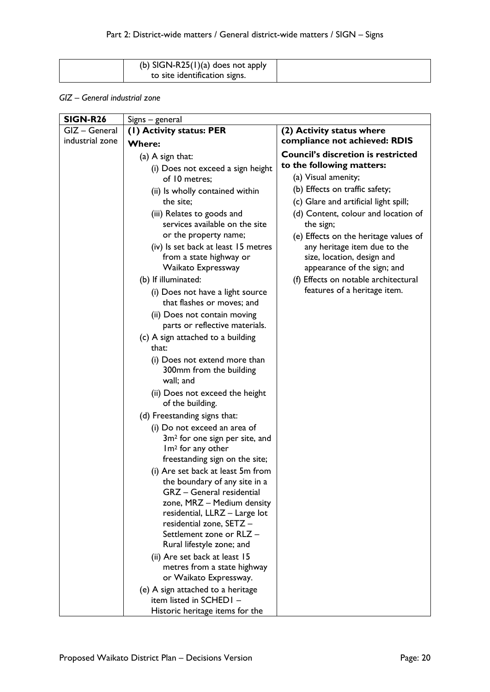| (b) SIGN-R25(1)(a) does not apply |  |
|-----------------------------------|--|
| to site identification signs.     |  |

### *GIZ – General industrial zone*

| <b>SIGN-R26</b> | Signs – general                                                    |                                                           |
|-----------------|--------------------------------------------------------------------|-----------------------------------------------------------|
| GIZ - General   | (1) Activity status: PER                                           | (2) Activity status where                                 |
| industrial zone | <b>Where:</b>                                                      | compliance not achieved: RDIS                             |
|                 | (a) $A$ sign that:                                                 | <b>Council's discretion is restricted</b>                 |
|                 | (i) Does not exceed a sign height                                  | to the following matters:                                 |
|                 | of 10 metres;                                                      | (a) Visual amenity;                                       |
|                 | (ii) Is wholly contained within                                    | (b) Effects on traffic safety;                            |
|                 | the site;                                                          | (c) Glare and artificial light spill;                     |
|                 | (iii) Relates to goods and                                         | (d) Content, colour and location of                       |
|                 | services available on the site                                     | the sign;                                                 |
|                 | or the property name;                                              | (e) Effects on the heritage values of                     |
|                 | (iv) Is set back at least 15 metres                                | any heritage item due to the                              |
|                 | from a state highway or<br>Waikato Expressway                      | size, location, design and<br>appearance of the sign; and |
|                 | (b) If illuminated:                                                | (f) Effects on notable architectural                      |
|                 | (i) Does not have a light source                                   | features of a heritage item.                              |
|                 | that flashes or moves; and                                         |                                                           |
|                 | (ii) Does not contain moving                                       |                                                           |
|                 | parts or reflective materials.                                     |                                                           |
|                 | (c) A sign attached to a building                                  |                                                           |
|                 | that:                                                              |                                                           |
|                 | (i) Does not extend more than                                      |                                                           |
|                 | 300mm from the building<br>wall; and                               |                                                           |
|                 | (ii) Does not exceed the height                                    |                                                           |
|                 | of the building.                                                   |                                                           |
|                 | (d) Freestanding signs that:                                       |                                                           |
|                 | (i) Do not exceed an area of                                       |                                                           |
|                 | 3m <sup>2</sup> for one sign per site, and                         |                                                           |
|                 | Im <sup>2</sup> for any other                                      |                                                           |
|                 | freestanding sign on the site;                                     |                                                           |
|                 | (i) Are set back at least 5m from<br>the boundary of any site in a |                                                           |
|                 | <b>GRZ</b> - General residential                                   |                                                           |
|                 | zone, MRZ - Medium density                                         |                                                           |
|                 | residential, LLRZ - Large lot                                      |                                                           |
|                 | residential zone, SETZ -                                           |                                                           |
|                 | Settlement zone or RLZ -                                           |                                                           |
|                 | Rural lifestyle zone; and                                          |                                                           |
|                 | (ii) Are set back at least 15                                      |                                                           |
|                 | metres from a state highway<br>or Waikato Expressway.              |                                                           |
|                 | (e) A sign attached to a heritage                                  |                                                           |
|                 | item listed in SCHEDI -                                            |                                                           |
|                 | Historic heritage items for the                                    |                                                           |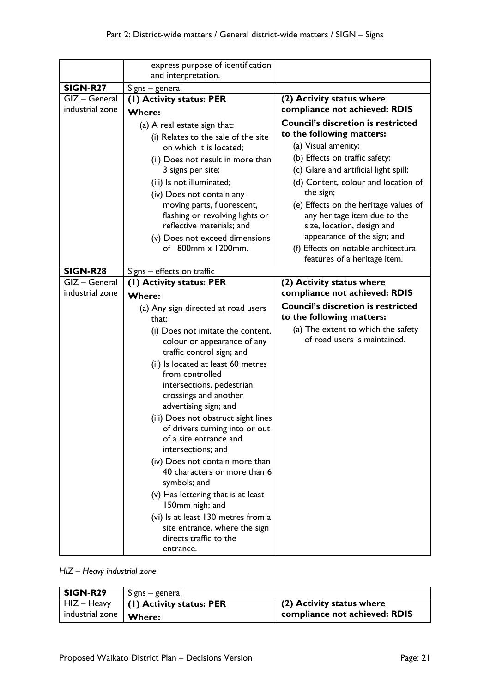|                 | express purpose of identification<br>and interpretation.       |                                           |
|-----------------|----------------------------------------------------------------|-------------------------------------------|
| <b>SIGN-R27</b> | Signs - general                                                |                                           |
| GIZ - General   | (1) Activity status: PER                                       | (2) Activity status where                 |
| industrial zone |                                                                | compliance not achieved: RDIS             |
|                 | <b>Where:</b>                                                  | <b>Council's discretion is restricted</b> |
|                 | (a) A real estate sign that:                                   | to the following matters:                 |
|                 | (i) Relates to the sale of the site<br>on which it is located; | (a) Visual amenity;                       |
|                 | (ii) Does not result in more than                              | (b) Effects on traffic safety;            |
|                 | 3 signs per site;                                              | (c) Glare and artificial light spill;     |
|                 | (iii) Is not illuminated;                                      | (d) Content, colour and location of       |
|                 | (iv) Does not contain any                                      | the sign;                                 |
|                 | moving parts, fluorescent,                                     | (e) Effects on the heritage values of     |
|                 | flashing or revolving lights or                                | any heritage item due to the              |
|                 | reflective materials; and                                      | size, location, design and                |
|                 | (v) Does not exceed dimensions                                 | appearance of the sign; and               |
|                 | of 1800mm x 1200mm.                                            | (f) Effects on notable architectural      |
|                 |                                                                | features of a heritage item.              |
| <b>SIGN-R28</b> | Signs - effects on traffic                                     |                                           |
| GIZ - General   | (I) Activity status: PER                                       | (2) Activity status where                 |
| industrial zone | <b>Where:</b>                                                  | compliance not achieved: RDIS             |
|                 | (a) Any sign directed at road users                            | <b>Council's discretion is restricted</b> |
|                 | that:                                                          | to the following matters:                 |
|                 | (i) Does not imitate the content,                              | (a) The extent to which the safety        |
|                 | colour or appearance of any                                    | of road users is maintained.              |
|                 | traffic control sign; and                                      |                                           |
|                 | (ii) Is located at least 60 metres                             |                                           |
|                 | from controlled                                                |                                           |
|                 | intersections, pedestrian<br>crossings and another             |                                           |
|                 | advertising sign; and                                          |                                           |
|                 | (iii) Does not obstruct sight lines                            |                                           |
|                 | of drivers turning into or out                                 |                                           |
|                 | of a site entrance and                                         |                                           |
|                 | intersections; and                                             |                                           |
|                 | (iv) Does not contain more than                                |                                           |
|                 | 40 characters or more than 6                                   |                                           |
|                 | symbols; and                                                   |                                           |
|                 | (v) Has lettering that is at least                             |                                           |
|                 | 150mm high; and                                                |                                           |
|                 | (vi) Is at least 130 metres from a                             |                                           |
|                 | site entrance, where the sign                                  |                                           |
|                 | directs traffic to the                                         |                                           |
|                 | entrance.                                                      |                                           |

# *HIZ – Heavy industrial zone*

| SIGN-R29                                      | Signs – general            |                               |
|-----------------------------------------------|----------------------------|-------------------------------|
| HIZ – Heavy                                   | $(1)$ Activity status: PER | $(2)$ Activity status where   |
| $\blacksquare$ industrial zone $\vert$ Where: |                            | compliance not achieved: RDIS |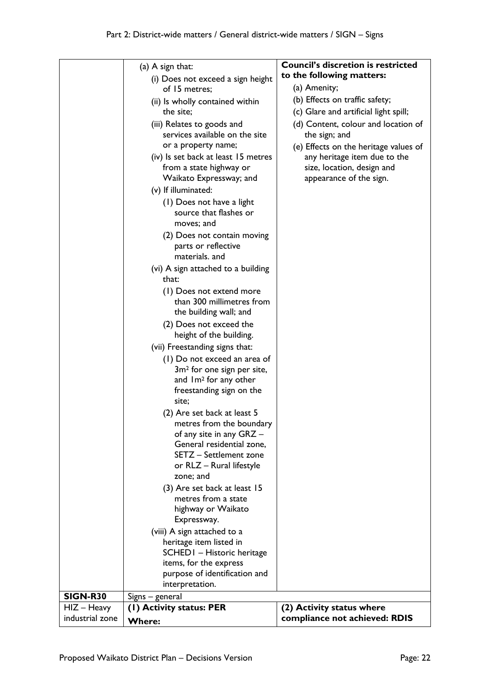|                 |                                                                   | <b>Council's discretion is restricted</b>                  |
|-----------------|-------------------------------------------------------------------|------------------------------------------------------------|
|                 | (a) $A$ sign that:                                                |                                                            |
|                 | (i) Does not exceed a sign height                                 | to the following matters:                                  |
|                 | of 15 metres;                                                     | (a) Amenity;                                               |
|                 | (ii) Is wholly contained within                                   | (b) Effects on traffic safety;                             |
|                 | the site;                                                         | (c) Glare and artificial light spill;                      |
|                 | (iii) Relates to goods and                                        | (d) Content, colour and location of                        |
|                 | services available on the site                                    | the sign; and                                              |
|                 | or a property name;                                               | (e) Effects on the heritage values of                      |
|                 | (iv) Is set back at least 15 metres<br>from a state highway or    | any heritage item due to the<br>size, location, design and |
|                 | Waikato Expressway; and                                           | appearance of the sign.                                    |
|                 | (v) If illuminated:                                               |                                                            |
|                 | (1) Does not have a light<br>source that flashes or<br>moves; and |                                                            |
|                 | (2) Does not contain moving                                       |                                                            |
|                 | parts or reflective<br>materials, and                             |                                                            |
|                 | (vi) A sign attached to a building<br>that:                       |                                                            |
|                 | (1) Does not extend more<br>than 300 millimetres from             |                                                            |
|                 | the building wall; and                                            |                                                            |
|                 | (2) Does not exceed the<br>height of the building.                |                                                            |
|                 | (vii) Freestanding signs that:                                    |                                                            |
|                 | (1) Do not exceed an area of                                      |                                                            |
|                 | 3m <sup>2</sup> for one sign per site,                            |                                                            |
|                 | and Im <sup>2</sup> for any other                                 |                                                            |
|                 | freestanding sign on the                                          |                                                            |
|                 | site;                                                             |                                                            |
|                 | (2) Are set back at least 5                                       |                                                            |
|                 | metres from the boundary                                          |                                                            |
|                 | of any site in any GRZ -                                          |                                                            |
|                 | General residential zone,                                         |                                                            |
|                 | SETZ - Settlement zone                                            |                                                            |
|                 | or RLZ - Rural lifestyle                                          |                                                            |
|                 | zone; and                                                         |                                                            |
|                 | (3) Are set back at least 15                                      |                                                            |
|                 | metres from a state<br>highway or Waikato                         |                                                            |
|                 | Expressway.                                                       |                                                            |
|                 | (viii) A sign attached to a                                       |                                                            |
|                 | heritage item listed in                                           |                                                            |
|                 | SCHEDI - Historic heritage                                        |                                                            |
|                 | items, for the express                                            |                                                            |
|                 | purpose of identification and                                     |                                                            |
|                 | interpretation.                                                   |                                                            |
| <b>SIGN-R30</b> | Signs - general                                                   |                                                            |
| $HIZ - Heavy$   | (1) Activity status: PER                                          | (2) Activity status where                                  |
| industrial zone | <b>Where:</b>                                                     | compliance not achieved: RDIS                              |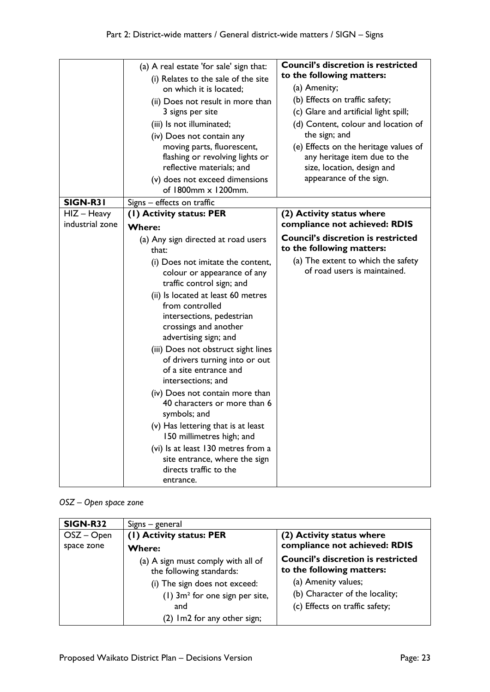|                                  | (a) A real estate 'for sale' sign that:<br>(i) Relates to the sale of the site<br>on which it is located;<br>(ii) Does not result in more than<br>3 signs per site<br>(iii) Is not illuminated;<br>(iv) Does not contain any                                                                                                                                                                                                                                                                                                                                                                                                                                                       | <b>Council's discretion is restricted</b><br>to the following matters:<br>(a) Amenity;<br>(b) Effects on traffic safety;<br>(c) Glare and artificial light spill;<br>(d) Content, colour and location of<br>the sign; and |
|----------------------------------|------------------------------------------------------------------------------------------------------------------------------------------------------------------------------------------------------------------------------------------------------------------------------------------------------------------------------------------------------------------------------------------------------------------------------------------------------------------------------------------------------------------------------------------------------------------------------------------------------------------------------------------------------------------------------------|---------------------------------------------------------------------------------------------------------------------------------------------------------------------------------------------------------------------------|
|                                  | moving parts, fluorescent,<br>flashing or revolving lights or<br>reflective materials; and<br>(v) does not exceed dimensions<br>of $1800$ mm $\times 1200$ mm.                                                                                                                                                                                                                                                                                                                                                                                                                                                                                                                     | (e) Effects on the heritage values of<br>any heritage item due to the<br>size, location, design and<br>appearance of the sign.                                                                                            |
| SIGN-R31                         | Signs - effects on traffic                                                                                                                                                                                                                                                                                                                                                                                                                                                                                                                                                                                                                                                         |                                                                                                                                                                                                                           |
| $HIZ - Heavy$<br>industrial zone | (1) Activity status: PER<br>Where:                                                                                                                                                                                                                                                                                                                                                                                                                                                                                                                                                                                                                                                 | (2) Activity status where<br>compliance not achieved: RDIS                                                                                                                                                                |
|                                  | (a) Any sign directed at road users<br>that:<br>(i) Does not imitate the content,<br>colour or appearance of any<br>traffic control sign; and<br>(ii) Is located at least 60 metres<br>from controlled<br>intersections, pedestrian<br>crossings and another<br>advertising sign; and<br>(iii) Does not obstruct sight lines<br>of drivers turning into or out<br>of a site entrance and<br>intersections; and<br>(iv) Does not contain more than<br>40 characters or more than 6<br>symbols; and<br>(v) Has lettering that is at least<br>150 millimetres high; and<br>(vi) Is at least 130 metres from a<br>site entrance, where the sign<br>directs traffic to the<br>entrance. | <b>Council's discretion is restricted</b><br>to the following matters:<br>(a) The extent to which the safety<br>of road users is maintained.                                                                              |

# *OSZ – Open space zone*

| SIGN-R32     | Signs – general                                                |                                                                        |
|--------------|----------------------------------------------------------------|------------------------------------------------------------------------|
| $OSZ - Open$ | (1) Activity status: PER                                       | (2) Activity status where                                              |
| space zone   | <b>Where:</b>                                                  | compliance not achieved: RDIS                                          |
|              | (a) A sign must comply with all of<br>the following standards: | <b>Council's discretion is restricted</b><br>to the following matters: |
|              | (i) The sign does not exceed:                                  | (a) Amenity values;                                                    |
|              | $(1)$ 3m <sup>2</sup> for one sign per site,                   | (b) Character of the locality;                                         |
|              | and                                                            | (c) Effects on traffic safety;                                         |
|              | (2) Im2 for any other sign;                                    |                                                                        |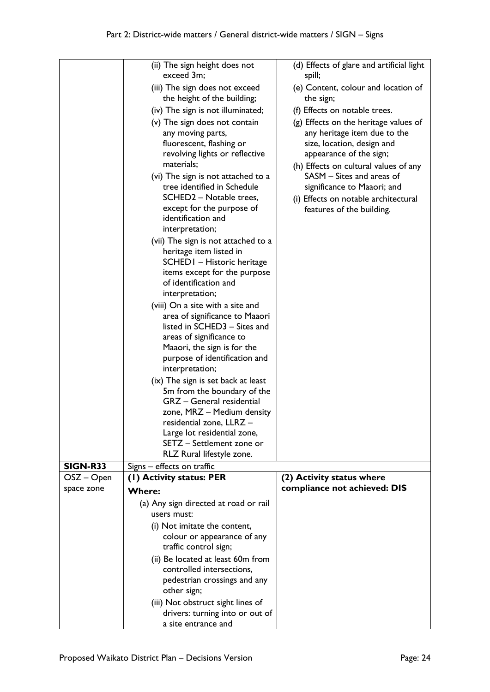|                 | (ii) The sign height does not<br>exceed 3m;                                                                                                                               | (d) Effects of glare and artificial light<br>spill;                                                                                                         |
|-----------------|---------------------------------------------------------------------------------------------------------------------------------------------------------------------------|-------------------------------------------------------------------------------------------------------------------------------------------------------------|
|                 | (iii) The sign does not exceed<br>the height of the building;                                                                                                             | (e) Content, colour and location of<br>the sign;                                                                                                            |
|                 | (iv) The sign is not illuminated;                                                                                                                                         | (f) Effects on notable trees.                                                                                                                               |
|                 | (v) The sign does not contain                                                                                                                                             | (g) Effects on the heritage values of                                                                                                                       |
|                 | any moving parts,<br>fluorescent, flashing or<br>revolving lights or reflective<br>materials;<br>(vi) The sign is not attached to a                                       | any heritage item due to the<br>size, location, design and<br>appearance of the sign;<br>(h) Effects on cultural values of any<br>SASM - Sites and areas of |
|                 | tree identified in Schedule<br>SCHED2 - Notable trees,<br>except for the purpose of<br>identification and                                                                 | significance to Maaori; and<br>(i) Effects on notable architectural<br>features of the building.                                                            |
|                 | interpretation;                                                                                                                                                           |                                                                                                                                                             |
|                 | (vii) The sign is not attached to a<br>heritage item listed in<br>SCHED I - Historic heritage<br>items except for the purpose<br>of identification and<br>interpretation; |                                                                                                                                                             |
|                 | (viii) On a site with a site and                                                                                                                                          |                                                                                                                                                             |
|                 | area of significance to Maaori                                                                                                                                            |                                                                                                                                                             |
|                 | listed in SCHED3 - Sites and                                                                                                                                              |                                                                                                                                                             |
|                 | areas of significance to                                                                                                                                                  |                                                                                                                                                             |
|                 | Maaori, the sign is for the                                                                                                                                               |                                                                                                                                                             |
|                 | purpose of identification and                                                                                                                                             |                                                                                                                                                             |
|                 | interpretation;                                                                                                                                                           |                                                                                                                                                             |
|                 | (ix) The sign is set back at least<br>5m from the boundary of the                                                                                                         |                                                                                                                                                             |
|                 | GRZ - General residential                                                                                                                                                 |                                                                                                                                                             |
|                 | zone, MRZ - Medium density                                                                                                                                                |                                                                                                                                                             |
|                 | residential zone, LLRZ                                                                                                                                                    |                                                                                                                                                             |
|                 | Large lot residential zone,                                                                                                                                               |                                                                                                                                                             |
|                 | SETZ - Settlement zone or<br>RLZ Rural lifestyle zone.                                                                                                                    |                                                                                                                                                             |
| <b>SIGN-R33</b> | Signs - effects on traffic                                                                                                                                                |                                                                                                                                                             |
| OSZ – Open      | (1) Activity status: PER                                                                                                                                                  | (2) Activity status where                                                                                                                                   |
| space zone      | <b>Where:</b>                                                                                                                                                             | compliance not achieved: DIS                                                                                                                                |
|                 | (a) Any sign directed at road or rail                                                                                                                                     |                                                                                                                                                             |
|                 | users must:                                                                                                                                                               |                                                                                                                                                             |
|                 | (i) Not imitate the content,                                                                                                                                              |                                                                                                                                                             |
|                 | colour or appearance of any<br>traffic control sign;                                                                                                                      |                                                                                                                                                             |
|                 | (ii) Be located at least 60m from                                                                                                                                         |                                                                                                                                                             |
|                 | controlled intersections,                                                                                                                                                 |                                                                                                                                                             |
|                 | pedestrian crossings and any<br>other sign;                                                                                                                               |                                                                                                                                                             |
|                 | (iii) Not obstruct sight lines of                                                                                                                                         |                                                                                                                                                             |
|                 | drivers: turning into or out of                                                                                                                                           |                                                                                                                                                             |
|                 | a site entrance and                                                                                                                                                       |                                                                                                                                                             |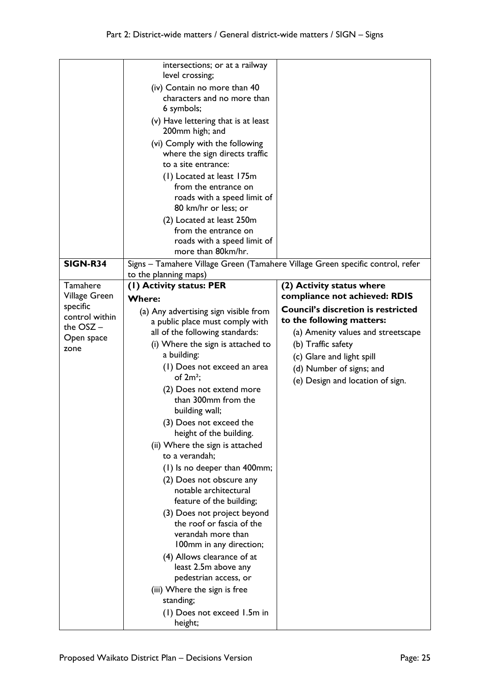|                 | intersections; or at a railway<br>level crossing;                              |                                                            |
|-----------------|--------------------------------------------------------------------------------|------------------------------------------------------------|
|                 | (iv) Contain no more than 40                                                   |                                                            |
|                 | characters and no more than                                                    |                                                            |
|                 | 6 symbols;                                                                     |                                                            |
|                 | (v) Have lettering that is at least                                            |                                                            |
|                 | 200mm high; and                                                                |                                                            |
|                 | (vi) Comply with the following                                                 |                                                            |
|                 | where the sign directs traffic                                                 |                                                            |
|                 | to a site entrance:                                                            |                                                            |
|                 | (1) Located at least 175m                                                      |                                                            |
|                 | from the entrance on                                                           |                                                            |
|                 | roads with a speed limit of                                                    |                                                            |
|                 | 80 km/hr or less; or                                                           |                                                            |
|                 | (2) Located at least 250m                                                      |                                                            |
|                 | from the entrance on                                                           |                                                            |
|                 | roads with a speed limit of                                                    |                                                            |
|                 | more than 80km/hr.                                                             |                                                            |
| <b>SIGN-R34</b> | Signs - Tamahere Village Green (Tamahere Village Green specific control, refer |                                                            |
| Tamahere        | to the planning maps)<br>(1) Activity status: PER                              |                                                            |
| Village Green   |                                                                                | (2) Activity status where<br>compliance not achieved: RDIS |
| specific        | <b>Where:</b>                                                                  | <b>Council's discretion is restricted</b>                  |
| control within  | (a) Any advertising sign visible from                                          |                                                            |
| the $OSZ -$     | a public place must comply with                                                | to the following matters:                                  |
| Open space      | all of the following standards:                                                | (a) Amenity values and streetscape                         |
| zone            | (i) Where the sign is attached to<br>a building:                               | (b) Traffic safety                                         |
|                 |                                                                                | (c) Glare and light spill                                  |
|                 | (1) Does not exceed an area<br>of $2m^2$ ;                                     | (d) Number of signs; and                                   |
|                 | (2) Does not extend more                                                       | (e) Design and location of sign.                           |
|                 | than 300mm from the                                                            |                                                            |
|                 | building wall;                                                                 |                                                            |
|                 | (3) Does not exceed the                                                        |                                                            |
|                 | height of the building.                                                        |                                                            |
|                 | (ii) Where the sign is attached                                                |                                                            |
|                 | to a verandah:                                                                 |                                                            |
|                 | (1) Is no deeper than 400mm;                                                   |                                                            |
|                 | (2) Does not obscure any                                                       |                                                            |
|                 | notable architectural                                                          |                                                            |
|                 | feature of the building;                                                       |                                                            |
|                 | (3) Does not project beyond                                                    |                                                            |
|                 | the roof or fascia of the                                                      |                                                            |
|                 | verandah more than                                                             |                                                            |
|                 | 100mm in any direction;                                                        |                                                            |
|                 | (4) Allows clearance of at                                                     |                                                            |
|                 | least 2.5m above any                                                           |                                                            |
|                 | pedestrian access, or                                                          |                                                            |
|                 | (iii) Where the sign is free                                                   |                                                            |
|                 | standing;                                                                      |                                                            |
|                 | (1) Does not exceed 1.5m in<br>height;                                         |                                                            |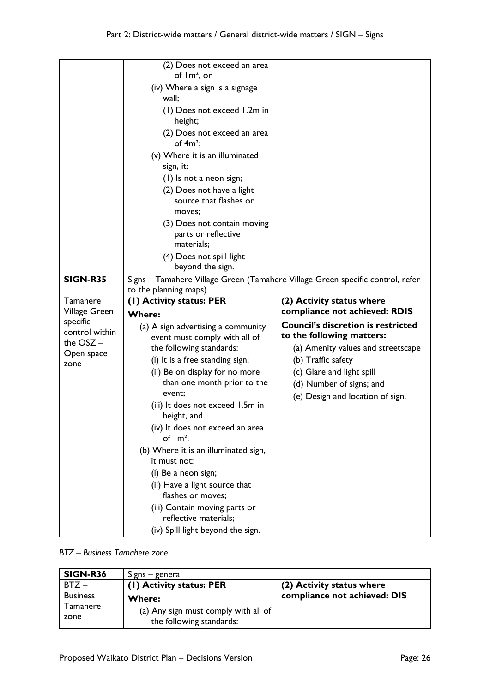|                               | (2) Does not exceed an area                                                    |                                           |
|-------------------------------|--------------------------------------------------------------------------------|-------------------------------------------|
|                               | of $\text{Im}^2$ , or                                                          |                                           |
|                               | (iv) Where a sign is a signage                                                 |                                           |
|                               | wall:                                                                          |                                           |
|                               | (1) Does not exceed 1.2m in                                                    |                                           |
|                               | height;                                                                        |                                           |
|                               | (2) Does not exceed an area                                                    |                                           |
|                               | of $4m^2$ ;                                                                    |                                           |
|                               | (v) Where it is an illuminated                                                 |                                           |
|                               | sign, it:                                                                      |                                           |
|                               | (1) Is not a neon sign;                                                        |                                           |
|                               | (2) Does not have a light                                                      |                                           |
|                               | source that flashes or<br>moves;                                               |                                           |
|                               | (3) Does not contain moving                                                    |                                           |
|                               | parts or reflective                                                            |                                           |
|                               | materials;                                                                     |                                           |
|                               | (4) Does not spill light                                                       |                                           |
|                               | beyond the sign.                                                               |                                           |
| <b>SIGN-R35</b>               | Signs - Tamahere Village Green (Tamahere Village Green specific control, refer |                                           |
|                               | to the planning maps)                                                          |                                           |
|                               |                                                                                |                                           |
| Tamahere                      | (1) Activity status: PER                                                       | (2) Activity status where                 |
| Village Green                 | <b>Where:</b>                                                                  | compliance not achieved: RDIS             |
| specific                      | (a) A sign advertising a community                                             | <b>Council's discretion is restricted</b> |
| control within<br>the $OSZ -$ | event must comply with all of                                                  | to the following matters:                 |
| Open space                    | the following standards:                                                       | (a) Amenity values and streetscape        |
| zone                          | (i) It is a free standing sign;                                                | (b) Traffic safety                        |
|                               | (ii) Be on display for no more                                                 | (c) Glare and light spill                 |
|                               | than one month prior to the<br>event;                                          | (d) Number of signs; and                  |
|                               | (iii) It does not exceed 1.5m in                                               | (e) Design and location of sign.          |
|                               | height, and                                                                    |                                           |
|                               | (iv) It does not exceed an area                                                |                                           |
|                               | of $Im2$ .                                                                     |                                           |
|                               | (b) Where it is an illuminated sign,                                           |                                           |
|                               | it must not:                                                                   |                                           |
|                               | (i) Be a neon sign;                                                            |                                           |
|                               | (ii) Have a light source that                                                  |                                           |
|                               | flashes or moves;                                                              |                                           |
|                               | (iii) Contain moving parts or<br>reflective materials;                         |                                           |

#### *BTZ – Business Tamahere zone*

| SIGN-R36         | Signs – general                                                  |                              |
|------------------|------------------------------------------------------------------|------------------------------|
| $BTZ -$          | (1) Activity status: PER                                         | (2) Activity status where    |
| <b>Business</b>  | <b>Where:</b>                                                    | compliance not achieved: DIS |
| Tamahere<br>zone | (a) Any sign must comply with all of<br>the following standards: |                              |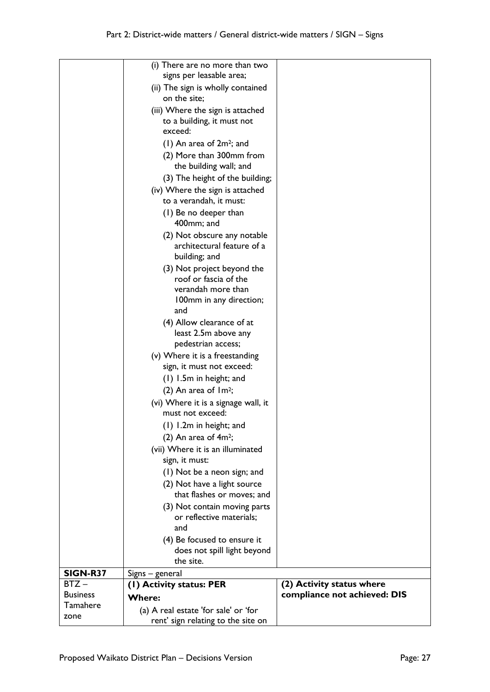|                 | (i) There are no more than two<br>signs per leasable area; |                              |
|-----------------|------------------------------------------------------------|------------------------------|
|                 | (ii) The sign is wholly contained                          |                              |
|                 | on the site;                                               |                              |
|                 | (iii) Where the sign is attached                           |                              |
|                 | to a building, it must not<br>exceed:                      |                              |
|                 | $(1)$ An area of $2m^2$ ; and                              |                              |
|                 | (2) More than 300mm from                                   |                              |
|                 | the building wall; and                                     |                              |
|                 | (3) The height of the building;                            |                              |
|                 | (iv) Where the sign is attached                            |                              |
|                 | to a verandah, it must:                                    |                              |
|                 | (1) Be no deeper than                                      |                              |
|                 | 400mm; and                                                 |                              |
|                 | (2) Not obscure any notable                                |                              |
|                 | architectural feature of a                                 |                              |
|                 | building; and                                              |                              |
|                 | (3) Not project beyond the                                 |                              |
|                 | roof or fascia of the                                      |                              |
|                 | verandah more than                                         |                              |
|                 | 100mm in any direction;                                    |                              |
|                 | and                                                        |                              |
|                 | (4) Allow clearance of at<br>least 2.5m above any          |                              |
|                 | pedestrian access;                                         |                              |
|                 | (v) Where it is a freestanding                             |                              |
|                 | sign, it must not exceed:                                  |                              |
|                 | (1) 1.5m in height; and                                    |                              |
|                 | (2) An area of $Im2$ ;                                     |                              |
|                 | (vi) Where it is a signage wall, it                        |                              |
|                 | must not exceed:                                           |                              |
|                 | (1) 1.2m in height; and                                    |                              |
|                 | (2) An area of $4m^2$ ;                                    |                              |
|                 | (vii) Where it is an illuminated                           |                              |
|                 | sign, it must:                                             |                              |
|                 | (1) Not be a neon sign; and                                |                              |
|                 | (2) Not have a light source                                |                              |
|                 | that flashes or moves; and                                 |                              |
|                 | (3) Not contain moving parts                               |                              |
|                 | or reflective materials;                                   |                              |
|                 | and                                                        |                              |
|                 | (4) Be focused to ensure it                                |                              |
|                 | does not spill light beyond<br>the site.                   |                              |
| SIGN-R37        | Signs – general                                            |                              |
| $BTZ -$         | (I) Activity status: PER                                   | (2) Activity status where    |
| <b>Business</b> | <b>Where:</b>                                              | compliance not achieved: DIS |
| Tamahere        | (a) A real estate 'for sale' or 'for                       |                              |
| zone            | rent' sign relating to the site on                         |                              |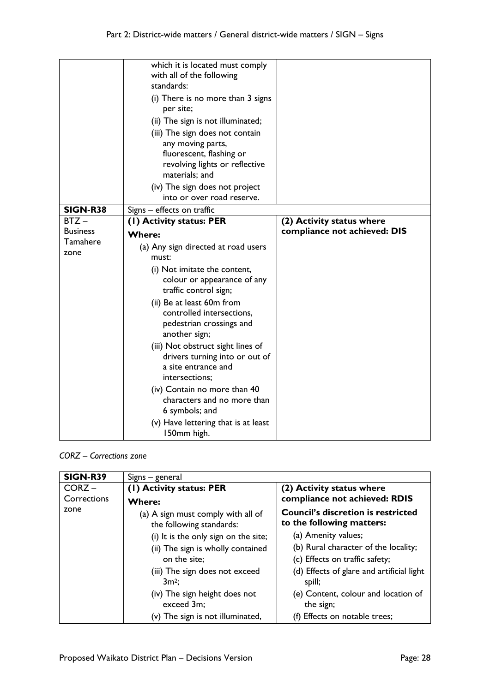|                 | which it is located must comply<br>with all of the following<br>standards:                                   |                              |
|-----------------|--------------------------------------------------------------------------------------------------------------|------------------------------|
|                 | (i) There is no more than 3 signs<br>per site;                                                               |                              |
|                 | (ii) The sign is not illuminated;                                                                            |                              |
|                 | (iii) The sign does not contain<br>any moving parts,                                                         |                              |
|                 | fluorescent, flashing or<br>revolving lights or reflective<br>materials; and                                 |                              |
|                 | (iv) The sign does not project<br>into or over road reserve.                                                 |                              |
| <b>SIGN-R38</b> | Signs - effects on traffic                                                                                   |                              |
| $BTZ -$         | (1) Activity status: PER                                                                                     | (2) Activity status where    |
| <b>Business</b> | <b>Where:</b>                                                                                                | compliance not achieved: DIS |
| Tamahere        | (a) Any sign directed at road users                                                                          |                              |
| zone            | must:                                                                                                        |                              |
|                 | (i) Not imitate the content,                                                                                 |                              |
|                 | colour or appearance of any<br>traffic control sign;                                                         |                              |
|                 | (ii) Be at least 60m from                                                                                    |                              |
|                 | controlled intersections,<br>pedestrian crossings and<br>another sign;                                       |                              |
|                 | (iii) Not obstruct sight lines of<br>drivers turning into or out of<br>a site entrance and<br>intersections: |                              |
|                 |                                                                                                              |                              |
|                 | (iv) Contain no more than 40<br>characters and no more than<br>6 symbols; and                                |                              |

### *CORZ – Corrections zone*

| <b>SIGN-R39</b> | Signs – general                                                |                                                                        |
|-----------------|----------------------------------------------------------------|------------------------------------------------------------------------|
| $CORZ -$        | (1) Activity status: PER                                       | (2) Activity status where                                              |
| Corrections     | <b>Where:</b>                                                  | compliance not achieved: RDIS                                          |
| zone            | (a) A sign must comply with all of<br>the following standards: | <b>Council's discretion is restricted</b><br>to the following matters: |
|                 | (i) It is the only sign on the site;                           | (a) Amenity values;                                                    |
|                 | (ii) The sign is wholly contained                              | (b) Rural character of the locality;                                   |
|                 | on the site:                                                   | (c) Effects on traffic safety;                                         |
|                 | (iii) The sign does not exceed<br>$3m^2$ :                     | (d) Effects of glare and artificial light<br>spill;                    |
|                 | (iv) The sign height does not<br>exceed 3m;                    | (e) Content, colour and location of<br>the sign;                       |
|                 | (v) The sign is not illuminated,                               | (f) Effects on notable trees;                                          |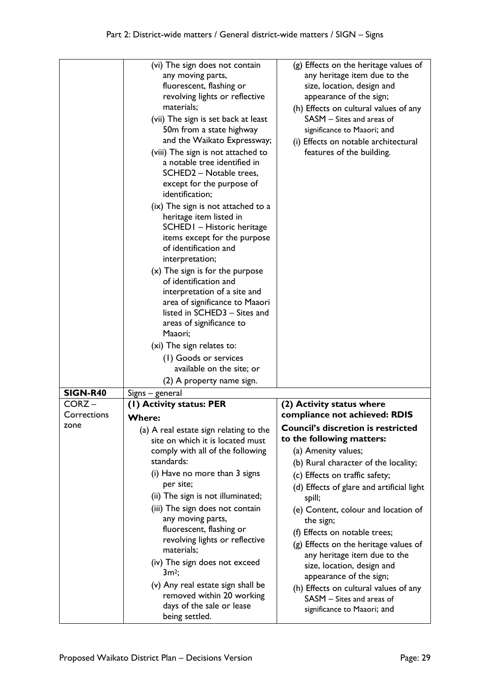|                 | (vi) The sign does not contain<br>any moving parts,<br>fluorescent, flashing or<br>revolving lights or reflective<br>materials:<br>(vii) The sign is set back at least<br>50m from a state highway<br>and the Waikato Expressway;<br>(viii) The sign is not attached to<br>a notable tree identified in<br>SCHED2 - Notable trees,<br>except for the purpose of<br>identification;<br>(ix) The sign is not attached to a<br>heritage item listed in<br>SCHED I - Historic heritage<br>items except for the purpose<br>of identification and<br>interpretation;<br>$(x)$ The sign is for the purpose<br>of identification and<br>interpretation of a site and<br>area of significance to Maaori<br>listed in SCHED3 - Sites and<br>areas of significance to | (g) Effects on the heritage values of<br>any heritage item due to the<br>size, location, design and<br>appearance of the sign;<br>(h) Effects on cultural values of any<br>SASM - Sites and areas of<br>significance to Maaori; and<br>(i) Effects on notable architectural<br>features of the building. |
|-----------------|------------------------------------------------------------------------------------------------------------------------------------------------------------------------------------------------------------------------------------------------------------------------------------------------------------------------------------------------------------------------------------------------------------------------------------------------------------------------------------------------------------------------------------------------------------------------------------------------------------------------------------------------------------------------------------------------------------------------------------------------------------|----------------------------------------------------------------------------------------------------------------------------------------------------------------------------------------------------------------------------------------------------------------------------------------------------------|
|                 | Maaori;                                                                                                                                                                                                                                                                                                                                                                                                                                                                                                                                                                                                                                                                                                                                                    |                                                                                                                                                                                                                                                                                                          |
|                 | (xi) The sign relates to:                                                                                                                                                                                                                                                                                                                                                                                                                                                                                                                                                                                                                                                                                                                                  |                                                                                                                                                                                                                                                                                                          |
|                 | (1) Goods or services                                                                                                                                                                                                                                                                                                                                                                                                                                                                                                                                                                                                                                                                                                                                      |                                                                                                                                                                                                                                                                                                          |
|                 | available on the site; or                                                                                                                                                                                                                                                                                                                                                                                                                                                                                                                                                                                                                                                                                                                                  |                                                                                                                                                                                                                                                                                                          |
| <b>SIGN-R40</b> | (2) A property name sign.                                                                                                                                                                                                                                                                                                                                                                                                                                                                                                                                                                                                                                                                                                                                  |                                                                                                                                                                                                                                                                                                          |
| $CORZ -$        | Signs – general<br>(I) Activity status: PER                                                                                                                                                                                                                                                                                                                                                                                                                                                                                                                                                                                                                                                                                                                | (2) Activity status where                                                                                                                                                                                                                                                                                |
| Corrections     | <b>Where:</b>                                                                                                                                                                                                                                                                                                                                                                                                                                                                                                                                                                                                                                                                                                                                              | compliance not achieved: RDIS                                                                                                                                                                                                                                                                            |
| zone            | (a) A real estate sign relating to the                                                                                                                                                                                                                                                                                                                                                                                                                                                                                                                                                                                                                                                                                                                     | <b>Council's discretion is restricted</b>                                                                                                                                                                                                                                                                |
|                 | site on which it is located must                                                                                                                                                                                                                                                                                                                                                                                                                                                                                                                                                                                                                                                                                                                           | to the following matters:                                                                                                                                                                                                                                                                                |
|                 | comply with all of the following                                                                                                                                                                                                                                                                                                                                                                                                                                                                                                                                                                                                                                                                                                                           | (a) Amenity values;                                                                                                                                                                                                                                                                                      |
|                 | standards:                                                                                                                                                                                                                                                                                                                                                                                                                                                                                                                                                                                                                                                                                                                                                 | (b) Rural character of the locality;                                                                                                                                                                                                                                                                     |
|                 | (i) Have no more than 3 signs<br>per site;                                                                                                                                                                                                                                                                                                                                                                                                                                                                                                                                                                                                                                                                                                                 | (c) Effects on traffic safety;                                                                                                                                                                                                                                                                           |
|                 | (ii) The sign is not illuminated;                                                                                                                                                                                                                                                                                                                                                                                                                                                                                                                                                                                                                                                                                                                          | (d) Effects of glare and artificial light<br>spill;                                                                                                                                                                                                                                                      |
|                 | (iii) The sign does not contain<br>any moving parts,                                                                                                                                                                                                                                                                                                                                                                                                                                                                                                                                                                                                                                                                                                       | (e) Content, colour and location of<br>the sign;                                                                                                                                                                                                                                                         |
|                 | fluorescent, flashing or                                                                                                                                                                                                                                                                                                                                                                                                                                                                                                                                                                                                                                                                                                                                   | (f) Effects on notable trees;                                                                                                                                                                                                                                                                            |
|                 | revolving lights or reflective<br>materials;                                                                                                                                                                                                                                                                                                                                                                                                                                                                                                                                                                                                                                                                                                               | (g) Effects on the heritage values of<br>any heritage item due to the                                                                                                                                                                                                                                    |
|                 | (iv) The sign does not exceed<br>$3m^2$ ;                                                                                                                                                                                                                                                                                                                                                                                                                                                                                                                                                                                                                                                                                                                  | size, location, design and<br>appearance of the sign;                                                                                                                                                                                                                                                    |
|                 | (v) Any real estate sign shall be<br>removed within 20 working<br>days of the sale or lease<br>being settled.                                                                                                                                                                                                                                                                                                                                                                                                                                                                                                                                                                                                                                              | (h) Effects on cultural values of any<br>SASM - Sites and areas of<br>significance to Maaori; and                                                                                                                                                                                                        |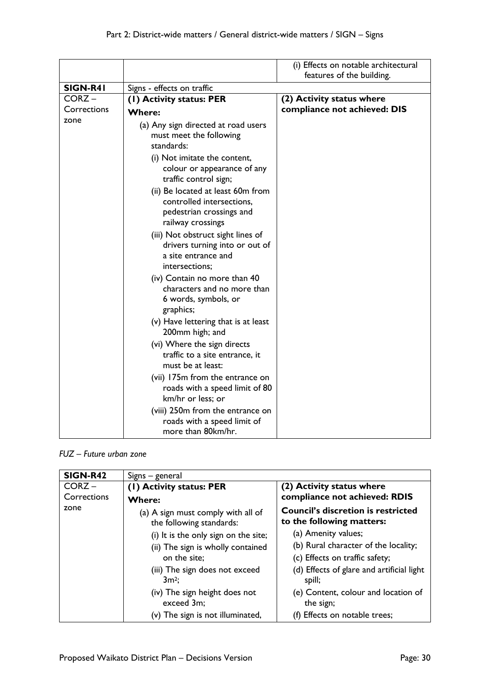|             |                                                                                                                 | (i) Effects on notable architectural<br>features of the building. |
|-------------|-----------------------------------------------------------------------------------------------------------------|-------------------------------------------------------------------|
| SIGN-R41    | Signs - effects on traffic                                                                                      |                                                                   |
| $CORZ -$    | (1) Activity status: PER                                                                                        | (2) Activity status where                                         |
| Corrections | <b>Where:</b>                                                                                                   | compliance not achieved: DIS                                      |
| zone        | (a) Any sign directed at road users<br>must meet the following<br>standards:                                    |                                                                   |
|             | (i) Not imitate the content,<br>colour or appearance of any<br>traffic control sign;                            |                                                                   |
|             | (ii) Be located at least 60m from<br>controlled intersections,<br>pedestrian crossings and<br>railway crossings |                                                                   |
|             | (iii) Not obstruct sight lines of<br>drivers turning into or out of<br>a site entrance and<br>intersections;    |                                                                   |
|             | (iv) Contain no more than 40<br>characters and no more than<br>6 words, symbols, or<br>graphics;                |                                                                   |
|             | (v) Have lettering that is at least<br>200mm high; and                                                          |                                                                   |
|             | (vi) Where the sign directs<br>traffic to a site entrance, it<br>must be at least:                              |                                                                   |
|             | (vii) 175m from the entrance on<br>roads with a speed limit of 80<br>km/hr or less; or                          |                                                                   |
|             | (viii) 250m from the entrance on<br>roads with a speed limit of<br>more than 80km/hr.                           |                                                                   |

### *FUZ – Future urban zone*

| SIGN-R42    | Signs – general                                                |                                                                        |
|-------------|----------------------------------------------------------------|------------------------------------------------------------------------|
| $CORZ -$    | (1) Activity status: PER                                       | (2) Activity status where                                              |
| Corrections | <b>Where:</b>                                                  | compliance not achieved: RDIS                                          |
| zone        | (a) A sign must comply with all of<br>the following standards: | <b>Council's discretion is restricted</b><br>to the following matters: |
|             | (i) It is the only sign on the site;                           | (a) Amenity values;                                                    |
|             | (ii) The sign is wholly contained                              | (b) Rural character of the locality;                                   |
|             | on the site;                                                   | (c) Effects on traffic safety;                                         |
|             | (iii) The sign does not exceed<br>$3m^2$ :                     | (d) Effects of glare and artificial light<br>spill;                    |
|             | (iv) The sign height does not<br>exceed 3m;                    | (e) Content, colour and location of<br>the sign;                       |
|             | (v) The sign is not illuminated,                               | (f) Effects on notable trees;                                          |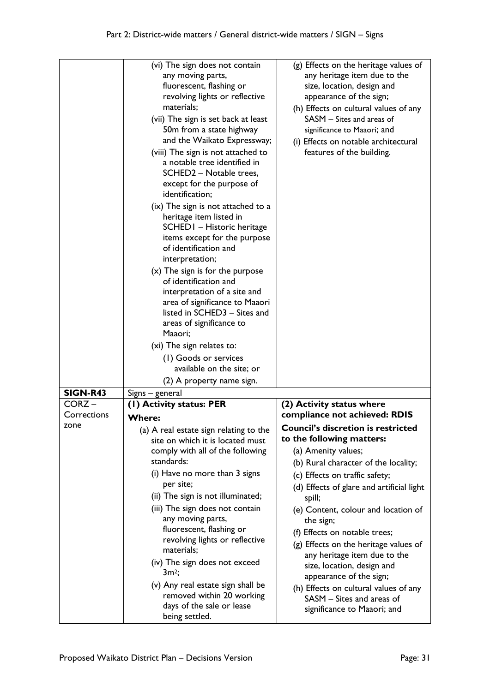|                 | (vi) The sign does not contain<br>any moving parts,<br>fluorescent, flashing or<br>revolving lights or reflective<br>materials:<br>(vii) The sign is set back at least<br>50m from a state highway  | (g) Effects on the heritage values of<br>any heritage item due to the<br>size, location, design and<br>appearance of the sign;<br>(h) Effects on cultural values of any<br>SASM - Sites and areas of<br>significance to Maaori; and |
|-----------------|-----------------------------------------------------------------------------------------------------------------------------------------------------------------------------------------------------|-------------------------------------------------------------------------------------------------------------------------------------------------------------------------------------------------------------------------------------|
|                 | and the Waikato Expressway;<br>(viii) The sign is not attached to<br>a notable tree identified in<br>SCHED2 - Notable trees,<br>except for the purpose of<br>identification;                        | (i) Effects on notable architectural<br>features of the building.                                                                                                                                                                   |
|                 | (ix) The sign is not attached to a<br>heritage item listed in<br>SCHED I - Historic heritage<br>items except for the purpose<br>of identification and<br>interpretation;                            |                                                                                                                                                                                                                                     |
|                 | $(x)$ The sign is for the purpose<br>of identification and<br>interpretation of a site and<br>area of significance to Maaori<br>listed in SCHED3 - Sites and<br>areas of significance to<br>Maaori; |                                                                                                                                                                                                                                     |
|                 | (xi) The sign relates to:                                                                                                                                                                           |                                                                                                                                                                                                                                     |
|                 | (1) Goods or services                                                                                                                                                                               |                                                                                                                                                                                                                                     |
|                 | available on the site; or                                                                                                                                                                           |                                                                                                                                                                                                                                     |
|                 | (2) A property name sign.                                                                                                                                                                           |                                                                                                                                                                                                                                     |
| <b>SIGN-R43</b> | Signs – general                                                                                                                                                                                     |                                                                                                                                                                                                                                     |
| $CORZ -$        | (I) Activity status: PER                                                                                                                                                                            | (2) Activity status where                                                                                                                                                                                                           |
| Corrections     | <b>Where:</b>                                                                                                                                                                                       | compliance not achieved: RDIS                                                                                                                                                                                                       |
| zone            | (a) A real estate sign relating to the                                                                                                                                                              | <b>Council's discretion is restricted</b>                                                                                                                                                                                           |
|                 | site on which it is located must                                                                                                                                                                    | to the following matters:                                                                                                                                                                                                           |
|                 | comply with all of the following<br>standards:                                                                                                                                                      | (a) Amenity values;                                                                                                                                                                                                                 |
|                 | (i) Have no more than 3 signs                                                                                                                                                                       | (b) Rural character of the locality;                                                                                                                                                                                                |
|                 | per site;                                                                                                                                                                                           | (c) Effects on traffic safety;<br>(d) Effects of glare and artificial light                                                                                                                                                         |
|                 | (ii) The sign is not illuminated;                                                                                                                                                                   | spill;                                                                                                                                                                                                                              |
|                 | (iii) The sign does not contain<br>any moving parts,                                                                                                                                                | (e) Content, colour and location of<br>the sign;                                                                                                                                                                                    |
|                 | fluorescent, flashing or                                                                                                                                                                            | (f) Effects on notable trees;                                                                                                                                                                                                       |
|                 | revolving lights or reflective<br>materials;                                                                                                                                                        | (g) Effects on the heritage values of<br>any heritage item due to the                                                                                                                                                               |
|                 | (iv) The sign does not exceed<br>$3m^2$ ;                                                                                                                                                           | size, location, design and<br>appearance of the sign;                                                                                                                                                                               |
|                 | (v) Any real estate sign shall be<br>removed within 20 working<br>days of the sale or lease<br>being settled.                                                                                       | (h) Effects on cultural values of any<br>SASM - Sites and areas of<br>significance to Maaori; and                                                                                                                                   |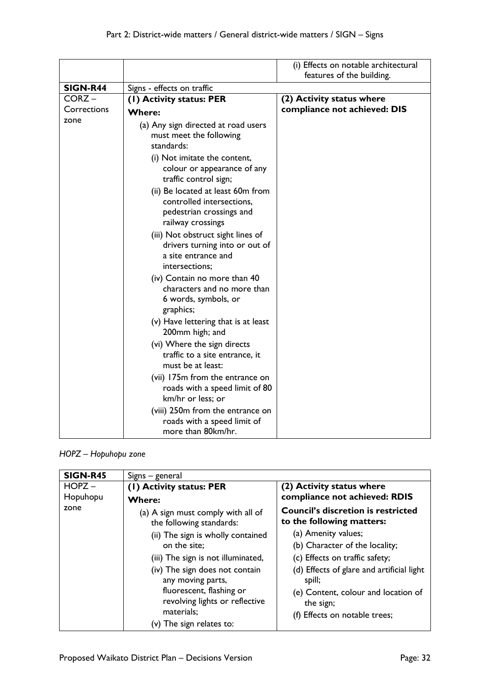|                 |                                                                                                                 | (i) Effects on notable architectural<br>features of the building. |
|-----------------|-----------------------------------------------------------------------------------------------------------------|-------------------------------------------------------------------|
| <b>SIGN-R44</b> | Signs - effects on traffic                                                                                      |                                                                   |
| CORZ-           | (1) Activity status: PER                                                                                        | (2) Activity status where                                         |
| Corrections     | <b>Where:</b>                                                                                                   | compliance not achieved: DIS                                      |
| zone            | (a) Any sign directed at road users<br>must meet the following<br>standards:                                    |                                                                   |
|                 | (i) Not imitate the content,<br>colour or appearance of any<br>traffic control sign;                            |                                                                   |
|                 | (ii) Be located at least 60m from<br>controlled intersections,<br>pedestrian crossings and<br>railway crossings |                                                                   |
|                 | (iii) Not obstruct sight lines of<br>drivers turning into or out of<br>a site entrance and<br>intersections;    |                                                                   |
|                 | (iv) Contain no more than 40<br>characters and no more than<br>6 words, symbols, or<br>graphics;                |                                                                   |
|                 | (v) Have lettering that is at least<br>200mm high; and                                                          |                                                                   |
|                 | (vi) Where the sign directs<br>traffic to a site entrance, it<br>must be at least:                              |                                                                   |
|                 | (vii) 175m from the entrance on<br>roads with a speed limit of 80<br>km/hr or less; or                          |                                                                   |
|                 | (viii) 250m from the entrance on<br>roads with a speed limit of<br>more than 80km/hr.                           |                                                                   |

*HOPZ – Hopuhopu zone*

| <b>SIGN-R45</b>      | Signs - general                                                                                                                                                                                                                                    |                                                                                                                                                                                                                                     |
|----------------------|----------------------------------------------------------------------------------------------------------------------------------------------------------------------------------------------------------------------------------------------------|-------------------------------------------------------------------------------------------------------------------------------------------------------------------------------------------------------------------------------------|
| $HOPZ -$<br>Hopuhopu | (1) Activity status: PER<br><b>Where:</b>                                                                                                                                                                                                          | (2) Activity status where<br>compliance not achieved: RDIS                                                                                                                                                                          |
| zone                 | (a) A sign must comply with all of<br>the following standards:                                                                                                                                                                                     | <b>Council's discretion is restricted</b><br>to the following matters:                                                                                                                                                              |
|                      | (ii) The sign is wholly contained<br>on the site:<br>(iii) The sign is not illuminated,<br>(iv) The sign does not contain<br>any moving parts,<br>fluorescent, flashing or<br>revolving lights or reflective<br>materials;<br>The sign relates to: | (a) Amenity values;<br>(b) Character of the locality;<br>(c) Effects on traffic safety;<br>(d) Effects of glare and artificial light<br>spill;<br>(e) Content, colour and location of<br>the sign;<br>(f) Effects on notable trees; |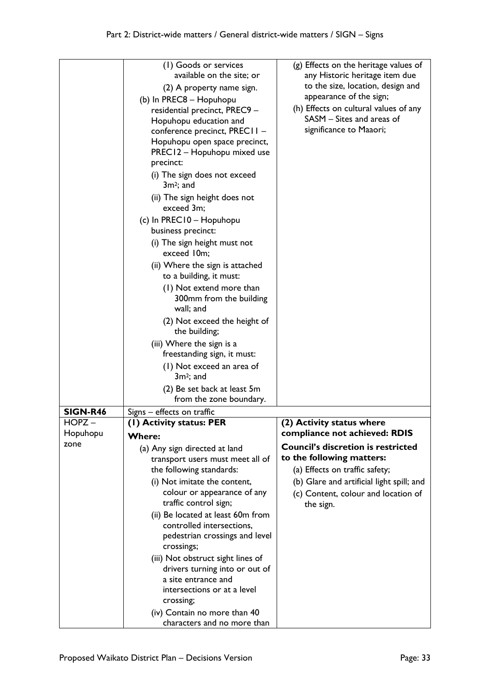|                 | (1) Goods or services<br>available on the site; or<br>(2) A property name sign.<br>(b) In PREC8 - Hopuhopu<br>residential precinct, PREC9 -<br>Hopuhopu education and<br>conference precinct, PREC11 -<br>Hopuhopu open space precinct,<br>PREC12 - Hopuhopu mixed use<br>precinct:<br>(i) The sign does not exceed<br>$3m2$ ; and<br>(ii) The sign height does not<br>exceed 3m;<br>(c) In PREC10 - Hopuhopu<br>business precinct:<br>(i) The sign height must not<br>exceed 10m;<br>(ii) Where the sign is attached<br>to a building, it must:<br>(1) Not extend more than<br>300mm from the building<br>wall; and<br>(2) Not exceed the height of<br>the building;<br>(iii) Where the sign is a<br>freestanding sign, it must:<br>(1) Not exceed an area of<br>$3m^2$ ; and<br>(2) Be set back at least 5m | (g) Effects on the heritage values of<br>any Historic heritage item due<br>to the size, location, design and<br>appearance of the sign;<br>(h) Effects on cultural values of any<br>SASM - Sites and areas of<br>significance to Maaori; |
|-----------------|---------------------------------------------------------------------------------------------------------------------------------------------------------------------------------------------------------------------------------------------------------------------------------------------------------------------------------------------------------------------------------------------------------------------------------------------------------------------------------------------------------------------------------------------------------------------------------------------------------------------------------------------------------------------------------------------------------------------------------------------------------------------------------------------------------------|------------------------------------------------------------------------------------------------------------------------------------------------------------------------------------------------------------------------------------------|
|                 | from the zone boundary.                                                                                                                                                                                                                                                                                                                                                                                                                                                                                                                                                                                                                                                                                                                                                                                       |                                                                                                                                                                                                                                          |
| <b>SIGN-R46</b> | Signs – effects on traffic                                                                                                                                                                                                                                                                                                                                                                                                                                                                                                                                                                                                                                                                                                                                                                                    |                                                                                                                                                                                                                                          |
| HOPZ ·          | (I) Activity status: PER                                                                                                                                                                                                                                                                                                                                                                                                                                                                                                                                                                                                                                                                                                                                                                                      | (2) Activity status where                                                                                                                                                                                                                |
| Hopuhopu        | <b>Where:</b>                                                                                                                                                                                                                                                                                                                                                                                                                                                                                                                                                                                                                                                                                                                                                                                                 | compliance not achieved: RDIS                                                                                                                                                                                                            |
| zone            | (a) Any sign directed at land                                                                                                                                                                                                                                                                                                                                                                                                                                                                                                                                                                                                                                                                                                                                                                                 | <b>Council's discretion is restricted</b>                                                                                                                                                                                                |
|                 | transport users must meet all of                                                                                                                                                                                                                                                                                                                                                                                                                                                                                                                                                                                                                                                                                                                                                                              | to the following matters:                                                                                                                                                                                                                |
|                 | the following standards:                                                                                                                                                                                                                                                                                                                                                                                                                                                                                                                                                                                                                                                                                                                                                                                      | (a) Effects on traffic safety;                                                                                                                                                                                                           |
|                 | (i) Not imitate the content,<br>colour or appearance of any                                                                                                                                                                                                                                                                                                                                                                                                                                                                                                                                                                                                                                                                                                                                                   | (b) Glare and artificial light spill; and<br>(c) Content, colour and location of                                                                                                                                                         |
|                 | traffic control sign;                                                                                                                                                                                                                                                                                                                                                                                                                                                                                                                                                                                                                                                                                                                                                                                         | the sign.                                                                                                                                                                                                                                |
|                 | (ii) Be located at least 60m from                                                                                                                                                                                                                                                                                                                                                                                                                                                                                                                                                                                                                                                                                                                                                                             |                                                                                                                                                                                                                                          |
|                 | controlled intersections,                                                                                                                                                                                                                                                                                                                                                                                                                                                                                                                                                                                                                                                                                                                                                                                     |                                                                                                                                                                                                                                          |
|                 | pedestrian crossings and level                                                                                                                                                                                                                                                                                                                                                                                                                                                                                                                                                                                                                                                                                                                                                                                |                                                                                                                                                                                                                                          |
|                 | crossings;                                                                                                                                                                                                                                                                                                                                                                                                                                                                                                                                                                                                                                                                                                                                                                                                    |                                                                                                                                                                                                                                          |
|                 | (iii) Not obstruct sight lines of<br>drivers turning into or out of                                                                                                                                                                                                                                                                                                                                                                                                                                                                                                                                                                                                                                                                                                                                           |                                                                                                                                                                                                                                          |
|                 | a site entrance and                                                                                                                                                                                                                                                                                                                                                                                                                                                                                                                                                                                                                                                                                                                                                                                           |                                                                                                                                                                                                                                          |
|                 | intersections or at a level                                                                                                                                                                                                                                                                                                                                                                                                                                                                                                                                                                                                                                                                                                                                                                                   |                                                                                                                                                                                                                                          |
|                 | crossing;                                                                                                                                                                                                                                                                                                                                                                                                                                                                                                                                                                                                                                                                                                                                                                                                     |                                                                                                                                                                                                                                          |
|                 | (iv) Contain no more than 40<br>characters and no more than                                                                                                                                                                                                                                                                                                                                                                                                                                                                                                                                                                                                                                                                                                                                                   |                                                                                                                                                                                                                                          |
|                 |                                                                                                                                                                                                                                                                                                                                                                                                                                                                                                                                                                                                                                                                                                                                                                                                               |                                                                                                                                                                                                                                          |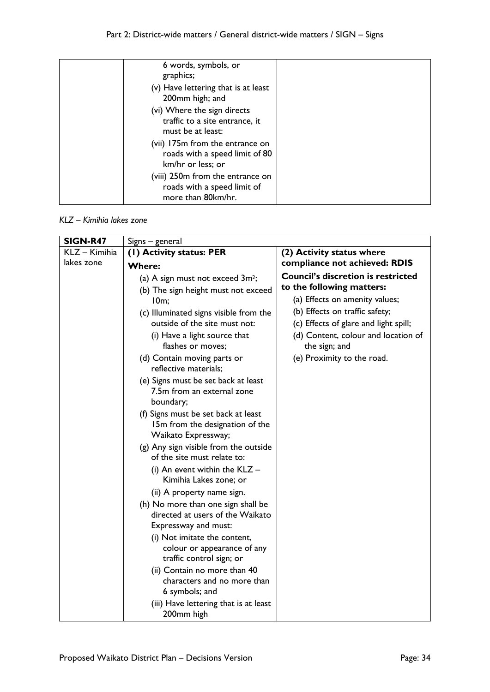| 6 words, symbols, or                                                                   |  |
|----------------------------------------------------------------------------------------|--|
| graphics;                                                                              |  |
| (v) Have lettering that is at least<br>200mm high; and                                 |  |
| (vi) Where the sign directs<br>traffic to a site entrance, it<br>must be at least:     |  |
| (vii) 175m from the entrance on<br>roads with a speed limit of 80<br>km/hr or less; or |  |
| (viii) 250m from the entrance on<br>roads with a speed limit of<br>more than 80km/hr.  |  |

### *KLZ – Kimihia lakes zone*

| <b>SIGN-R47</b> | Signs - general                                                                                                                                                                                                                                                                                                                                                                                                                                                                                                                                |                                                                                                                                                                                                                                                                           |
|-----------------|------------------------------------------------------------------------------------------------------------------------------------------------------------------------------------------------------------------------------------------------------------------------------------------------------------------------------------------------------------------------------------------------------------------------------------------------------------------------------------------------------------------------------------------------|---------------------------------------------------------------------------------------------------------------------------------------------------------------------------------------------------------------------------------------------------------------------------|
| KLZ - Kimihia   | (1) Activity status: PER                                                                                                                                                                                                                                                                                                                                                                                                                                                                                                                       | (2) Activity status where                                                                                                                                                                                                                                                 |
| lakes zone      | <b>Where:</b>                                                                                                                                                                                                                                                                                                                                                                                                                                                                                                                                  | compliance not achieved: RDIS                                                                                                                                                                                                                                             |
|                 | (a) A sign must not exceed 3m <sup>2</sup> ;<br>(b) The sign height must not exceed<br>10m;<br>(c) Illuminated signs visible from the<br>outside of the site must not:<br>(i) Have a light source that<br>flashes or moves:<br>(d) Contain moving parts or<br>reflective materials;<br>(e) Signs must be set back at least<br>7.5m from an external zone<br>boundary;<br>(f) Signs must be set back at least<br>15m from the designation of the<br>Waikato Expressway;<br>(g) Any sign visible from the outside<br>of the site must relate to: | <b>Council's discretion is restricted</b><br>to the following matters:<br>(a) Effects on amenity values;<br>(b) Effects on traffic safety;<br>(c) Effects of glare and light spill;<br>(d) Content, colour and location of<br>the sign; and<br>(e) Proximity to the road. |
|                 | (i) An event within the $KLZ -$<br>Kimihia Lakes zone; or<br>(ii) A property name sign.<br>(h) No more than one sign shall be<br>directed at users of the Waikato<br>Expressway and must:<br>(i) Not imitate the content,<br>colour or appearance of any<br>traffic control sign; or<br>(ii) Contain no more than 40<br>characters and no more than<br>6 symbols; and<br>(iii) Have lettering that is at least<br>200mm high                                                                                                                   |                                                                                                                                                                                                                                                                           |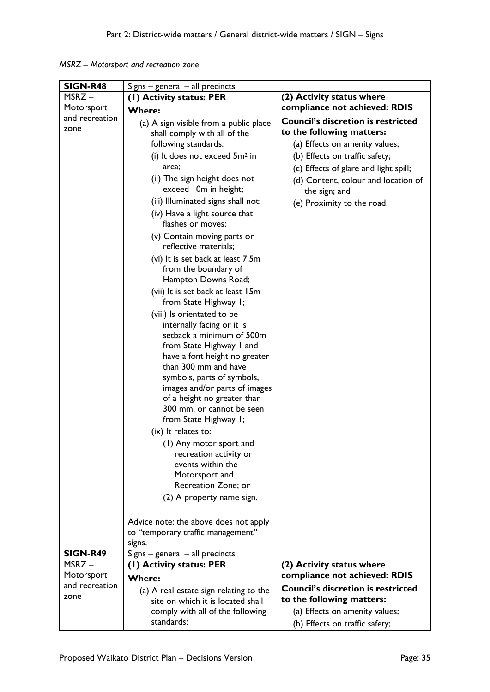*MSRZ – Motorsport and recreation zone*

| <b>SIGN-R48</b> | $Signs - general - all$ precincts                         |                                                      |
|-----------------|-----------------------------------------------------------|------------------------------------------------------|
| MSRZ-           | (I) Activity status: PER                                  | (2) Activity status where                            |
| Motorsport      | <b>Where:</b>                                             | compliance not achieved: RDIS                        |
| and recreation  | (a) A sign visible from a public place                    | <b>Council's discretion is restricted</b>            |
| zone            | shall comply with all of the                              | to the following matters:                            |
|                 | following standards:                                      | (a) Effects on amenity values;                       |
|                 | (i) It does not exceed $5m^2$ in                          | (b) Effects on traffic safety;                       |
|                 | area;                                                     |                                                      |
|                 | (ii) The sign height does not                             | (c) Effects of glare and light spill;                |
|                 | exceed 10m in height;                                     | (d) Content, colour and location of<br>the sign; and |
|                 | (iii) Illuminated signs shall not:                        | (e) Proximity to the road.                           |
|                 | (iv) Have a light source that                             |                                                      |
|                 | flashes or moves;                                         |                                                      |
|                 | (v) Contain moving parts or                               |                                                      |
|                 | reflective materials;                                     |                                                      |
|                 | (vi) It is set back at least 7.5m                         |                                                      |
|                 | from the boundary of                                      |                                                      |
|                 | Hampton Downs Road;                                       |                                                      |
|                 | (vii) It is set back at least 15m                         |                                                      |
|                 | from State Highway I;                                     |                                                      |
|                 | (viii) Is orientated to be                                |                                                      |
|                 | internally facing or it is                                |                                                      |
|                 | setback a minimum of 500m                                 |                                                      |
|                 | from State Highway I and<br>have a font height no greater |                                                      |
|                 | than 300 mm and have                                      |                                                      |
|                 | symbols, parts of symbols,                                |                                                      |
|                 | images and/or parts of images                             |                                                      |
|                 | of a height no greater than                               |                                                      |
|                 | 300 mm, or cannot be seen                                 |                                                      |
|                 | from State Highway I;                                     |                                                      |
|                 | (ix) It relates to:                                       |                                                      |
|                 | (1) Any motor sport and                                   |                                                      |
|                 | recreation activity or                                    |                                                      |
|                 | events within the                                         |                                                      |
|                 | Motorsport and                                            |                                                      |
|                 | Recreation Zone; or                                       |                                                      |
|                 | (2) A property name sign.                                 |                                                      |
|                 | Advice note: the above does not apply                     |                                                      |
|                 | to "temporary traffic management"                         |                                                      |
|                 | signs.                                                    |                                                      |
| <b>SIGN-R49</b> | $Signs - general - all$ precincts                         |                                                      |
| $MSRZ -$        | (I) Activity status: PER                                  | (2) Activity status where                            |
| Motorsport      | Where:                                                    | compliance not achieved: RDIS                        |
| and recreation  | (a) A real estate sign relating to the                    | <b>Council's discretion is restricted</b>            |
| zone            | site on which it is located shall                         | to the following matters:                            |
|                 | comply with all of the following                          | (a) Effects on amenity values;                       |
|                 | standards:                                                | (b) Effects on traffic safety;                       |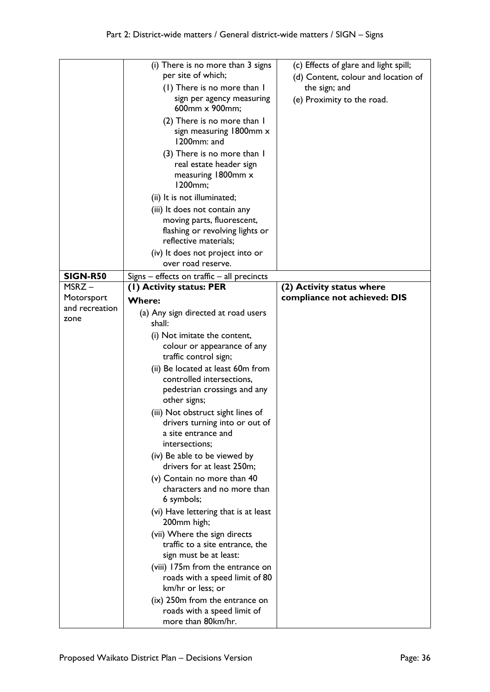|                              | (i) There is no more than 3 signs<br>per site of which;<br>(1) There is no more than I<br>sign per agency measuring<br>600mm x 900mm;<br>(2) There is no more than I<br>sign measuring 1800mm x<br>1200mm: and<br>(3) There is no more than I<br>real estate header sign<br>measuring 1800mm x<br>1200mm;<br>(ii) It is not illuminated;<br>(iii) It does not contain any<br>moving parts, fluorescent,<br>flashing or revolving lights or | (c) Effects of glare and light spill;<br>(d) Content, colour and location of<br>the sign; and<br>(e) Proximity to the road. |
|------------------------------|--------------------------------------------------------------------------------------------------------------------------------------------------------------------------------------------------------------------------------------------------------------------------------------------------------------------------------------------------------------------------------------------------------------------------------------------|-----------------------------------------------------------------------------------------------------------------------------|
|                              | reflective materials;                                                                                                                                                                                                                                                                                                                                                                                                                      |                                                                                                                             |
|                              | (iv) It does not project into or<br>over road reserve.                                                                                                                                                                                                                                                                                                                                                                                     |                                                                                                                             |
| <b>SIGN-R50</b>              | Signs $-$ effects on traffic $-$ all precincts                                                                                                                                                                                                                                                                                                                                                                                             |                                                                                                                             |
| MSRZ-                        | (I) Activity status: PER                                                                                                                                                                                                                                                                                                                                                                                                                   | (2) Activity status where                                                                                                   |
| Motorsport<br>and recreation | <b>Where:</b>                                                                                                                                                                                                                                                                                                                                                                                                                              | compliance not achieved: DIS                                                                                                |
| zone                         | (a) Any sign directed at road users                                                                                                                                                                                                                                                                                                                                                                                                        |                                                                                                                             |
|                              | shall:                                                                                                                                                                                                                                                                                                                                                                                                                                     |                                                                                                                             |
|                              | (i) Not imitate the content,<br>colour or appearance of any<br>traffic control sign;                                                                                                                                                                                                                                                                                                                                                       |                                                                                                                             |
|                              | (ii) Be located at least 60m from<br>controlled intersections,<br>pedestrian crossings and any<br>other signs;                                                                                                                                                                                                                                                                                                                             |                                                                                                                             |
|                              | (iii) Not obstruct sight lines of<br>drivers turning into or out of<br>a site entrance and<br>intersections;                                                                                                                                                                                                                                                                                                                               |                                                                                                                             |
|                              | (iv) Be able to be viewed by<br>drivers for at least 250m;                                                                                                                                                                                                                                                                                                                                                                                 |                                                                                                                             |
|                              | (v) Contain no more than 40<br>characters and no more than<br>6 symbols;                                                                                                                                                                                                                                                                                                                                                                   |                                                                                                                             |
|                              | (vi) Have lettering that is at least<br>200mm high;                                                                                                                                                                                                                                                                                                                                                                                        |                                                                                                                             |
|                              | (vii) Where the sign directs                                                                                                                                                                                                                                                                                                                                                                                                               |                                                                                                                             |
|                              | traffic to a site entrance, the<br>sign must be at least:                                                                                                                                                                                                                                                                                                                                                                                  |                                                                                                                             |
|                              | (viii) 175m from the entrance on<br>roads with a speed limit of 80<br>km/hr or less; or                                                                                                                                                                                                                                                                                                                                                    |                                                                                                                             |
|                              | (ix) 250m from the entrance on<br>roads with a speed limit of<br>more than 80km/hr.                                                                                                                                                                                                                                                                                                                                                        |                                                                                                                             |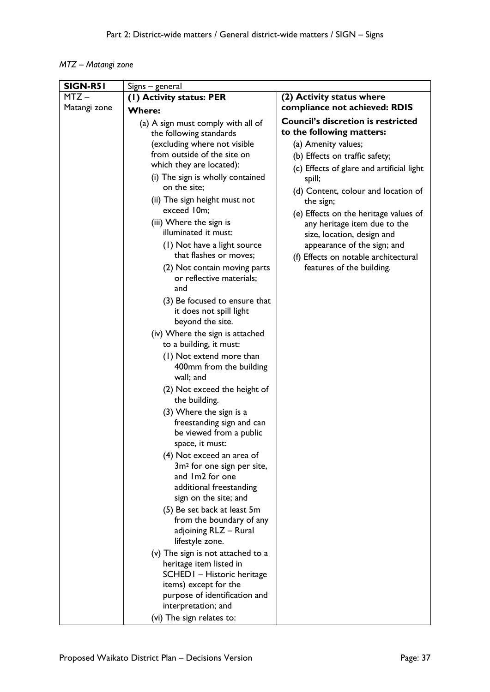# *MTZ – Matangi zone*

| $MTZ -$<br>(1) Activity status: PER<br>(2) Activity status where<br>compliance not achieved: RDIS<br>Matangi zone<br><b>Where:</b><br><b>Council's discretion is restricted</b><br>(a) A sign must comply with all of<br>to the following matters:<br>the following standards<br>(excluding where not visible<br>(a) Amenity values;<br>from outside of the site on<br>(b) Effects on traffic safety;<br>which they are located):<br>(c) Effects of glare and artificial light<br>(i) The sign is wholly contained<br>spill;<br>on the site;<br>(d) Content, colour and location of |  |
|-------------------------------------------------------------------------------------------------------------------------------------------------------------------------------------------------------------------------------------------------------------------------------------------------------------------------------------------------------------------------------------------------------------------------------------------------------------------------------------------------------------------------------------------------------------------------------------|--|
|                                                                                                                                                                                                                                                                                                                                                                                                                                                                                                                                                                                     |  |
|                                                                                                                                                                                                                                                                                                                                                                                                                                                                                                                                                                                     |  |
|                                                                                                                                                                                                                                                                                                                                                                                                                                                                                                                                                                                     |  |
|                                                                                                                                                                                                                                                                                                                                                                                                                                                                                                                                                                                     |  |
|                                                                                                                                                                                                                                                                                                                                                                                                                                                                                                                                                                                     |  |
|                                                                                                                                                                                                                                                                                                                                                                                                                                                                                                                                                                                     |  |
|                                                                                                                                                                                                                                                                                                                                                                                                                                                                                                                                                                                     |  |
|                                                                                                                                                                                                                                                                                                                                                                                                                                                                                                                                                                                     |  |
|                                                                                                                                                                                                                                                                                                                                                                                                                                                                                                                                                                                     |  |
| (ii) The sign height must not<br>the sign;                                                                                                                                                                                                                                                                                                                                                                                                                                                                                                                                          |  |
| exceed 10m;<br>(e) Effects on the heritage values of                                                                                                                                                                                                                                                                                                                                                                                                                                                                                                                                |  |
| (iii) Where the sign is<br>any heritage item due to the                                                                                                                                                                                                                                                                                                                                                                                                                                                                                                                             |  |
| illuminated it must:<br>size, location, design and                                                                                                                                                                                                                                                                                                                                                                                                                                                                                                                                  |  |
| (1) Not have a light source<br>appearance of the sign; and                                                                                                                                                                                                                                                                                                                                                                                                                                                                                                                          |  |
| that flashes or moves;<br>(f) Effects on notable architectural                                                                                                                                                                                                                                                                                                                                                                                                                                                                                                                      |  |
| features of the building.<br>(2) Not contain moving parts<br>or reflective materials;                                                                                                                                                                                                                                                                                                                                                                                                                                                                                               |  |
| and                                                                                                                                                                                                                                                                                                                                                                                                                                                                                                                                                                                 |  |
| (3) Be focused to ensure that                                                                                                                                                                                                                                                                                                                                                                                                                                                                                                                                                       |  |
| it does not spill light                                                                                                                                                                                                                                                                                                                                                                                                                                                                                                                                                             |  |
| beyond the site.                                                                                                                                                                                                                                                                                                                                                                                                                                                                                                                                                                    |  |
| (iv) Where the sign is attached                                                                                                                                                                                                                                                                                                                                                                                                                                                                                                                                                     |  |
| to a building, it must:                                                                                                                                                                                                                                                                                                                                                                                                                                                                                                                                                             |  |
| (1) Not extend more than                                                                                                                                                                                                                                                                                                                                                                                                                                                                                                                                                            |  |
| 400mm from the building                                                                                                                                                                                                                                                                                                                                                                                                                                                                                                                                                             |  |
| wall; and                                                                                                                                                                                                                                                                                                                                                                                                                                                                                                                                                                           |  |
| (2) Not exceed the height of                                                                                                                                                                                                                                                                                                                                                                                                                                                                                                                                                        |  |
| the building.                                                                                                                                                                                                                                                                                                                                                                                                                                                                                                                                                                       |  |
| (3) Where the sign is a                                                                                                                                                                                                                                                                                                                                                                                                                                                                                                                                                             |  |
| freestanding sign and can                                                                                                                                                                                                                                                                                                                                                                                                                                                                                                                                                           |  |
| be viewed from a public                                                                                                                                                                                                                                                                                                                                                                                                                                                                                                                                                             |  |
| space, it must:                                                                                                                                                                                                                                                                                                                                                                                                                                                                                                                                                                     |  |
| (4) Not exceed an area of<br>3m <sup>2</sup> for one sign per site,                                                                                                                                                                                                                                                                                                                                                                                                                                                                                                                 |  |
| and Im2 for one                                                                                                                                                                                                                                                                                                                                                                                                                                                                                                                                                                     |  |
| additional freestanding                                                                                                                                                                                                                                                                                                                                                                                                                                                                                                                                                             |  |
| sign on the site; and                                                                                                                                                                                                                                                                                                                                                                                                                                                                                                                                                               |  |
| (5) Be set back at least 5m                                                                                                                                                                                                                                                                                                                                                                                                                                                                                                                                                         |  |
| from the boundary of any                                                                                                                                                                                                                                                                                                                                                                                                                                                                                                                                                            |  |
| adjoining RLZ - Rural                                                                                                                                                                                                                                                                                                                                                                                                                                                                                                                                                               |  |
| lifestyle zone.                                                                                                                                                                                                                                                                                                                                                                                                                                                                                                                                                                     |  |
| (v) The sign is not attached to a                                                                                                                                                                                                                                                                                                                                                                                                                                                                                                                                                   |  |
| heritage item listed in                                                                                                                                                                                                                                                                                                                                                                                                                                                                                                                                                             |  |
| SCHED I - Historic heritage<br>items) except for the                                                                                                                                                                                                                                                                                                                                                                                                                                                                                                                                |  |
| purpose of identification and                                                                                                                                                                                                                                                                                                                                                                                                                                                                                                                                                       |  |
| interpretation; and                                                                                                                                                                                                                                                                                                                                                                                                                                                                                                                                                                 |  |
| (vi) The sign relates to:                                                                                                                                                                                                                                                                                                                                                                                                                                                                                                                                                           |  |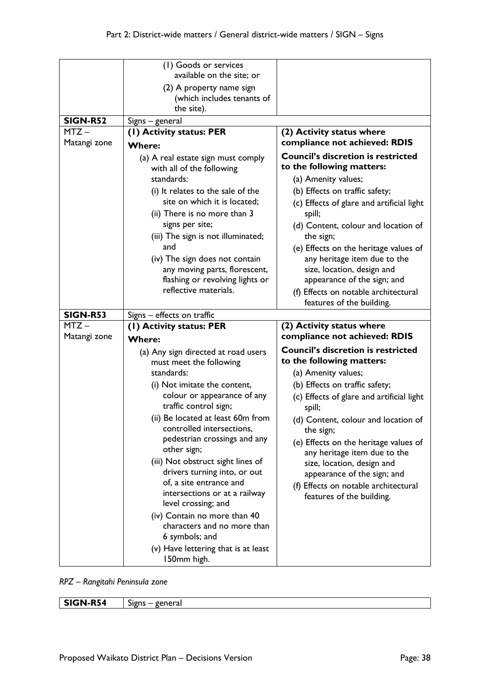|                 | (I) Goods or services<br>available on the site; or<br>(2) A property name sign<br>(which includes tenants of<br>the site).                                                                                                                                                                                                                                                                                                                                                                                                                                                           |                                                                                                                                                                                                                                                                                                                                                                                                                                                       |
|-----------------|--------------------------------------------------------------------------------------------------------------------------------------------------------------------------------------------------------------------------------------------------------------------------------------------------------------------------------------------------------------------------------------------------------------------------------------------------------------------------------------------------------------------------------------------------------------------------------------|-------------------------------------------------------------------------------------------------------------------------------------------------------------------------------------------------------------------------------------------------------------------------------------------------------------------------------------------------------------------------------------------------------------------------------------------------------|
| <b>SIGN-R52</b> | Signs - general                                                                                                                                                                                                                                                                                                                                                                                                                                                                                                                                                                      |                                                                                                                                                                                                                                                                                                                                                                                                                                                       |
| $MTZ -$         | (1) Activity status: PER                                                                                                                                                                                                                                                                                                                                                                                                                                                                                                                                                             | (2) Activity status where                                                                                                                                                                                                                                                                                                                                                                                                                             |
| Matangi zone    | <b>Where:</b>                                                                                                                                                                                                                                                                                                                                                                                                                                                                                                                                                                        | compliance not achieved: RDIS                                                                                                                                                                                                                                                                                                                                                                                                                         |
|                 | (a) A real estate sign must comply<br>with all of the following<br>standards:<br>(i) It relates to the sale of the<br>site on which it is located;<br>(ii) There is no more than 3<br>signs per site;<br>(iii) The sign is not illuminated;<br>and<br>(iv) The sign does not contain<br>any moving parts, florescent,<br>flashing or revolving lights or<br>reflective materials.                                                                                                                                                                                                    | <b>Council's discretion is restricted</b><br>to the following matters:<br>(a) Amenity values;<br>(b) Effects on traffic safety;<br>(c) Effects of glare and artificial light<br>spill;<br>(d) Content, colour and location of<br>the sign;<br>(e) Effects on the heritage values of<br>any heritage item due to the<br>size, location, design and<br>appearance of the sign; and                                                                      |
|                 |                                                                                                                                                                                                                                                                                                                                                                                                                                                                                                                                                                                      | (f) Effects on notable architectural<br>features of the building.                                                                                                                                                                                                                                                                                                                                                                                     |
| <b>SIGN-R53</b> | Signs - effects on traffic                                                                                                                                                                                                                                                                                                                                                                                                                                                                                                                                                           |                                                                                                                                                                                                                                                                                                                                                                                                                                                       |
| $MTZ -$         | (1) Activity status: PER                                                                                                                                                                                                                                                                                                                                                                                                                                                                                                                                                             | (2) Activity status where                                                                                                                                                                                                                                                                                                                                                                                                                             |
| Matangi zone    | <b>Where:</b>                                                                                                                                                                                                                                                                                                                                                                                                                                                                                                                                                                        | compliance not achieved: RDIS                                                                                                                                                                                                                                                                                                                                                                                                                         |
|                 | (a) Any sign directed at road users<br>must meet the following<br>standards:<br>(i) Not imitate the content,<br>colour or appearance of any<br>traffic control sign;<br>(ii) Be located at least 60m from<br>controlled intersections,<br>pedestrian crossings and any<br>other sign;<br>(iii) Not obstruct sight lines of<br>drivers turning into, or out<br>of, a site entrance and<br>intersections or at a railway<br>level crossing; and<br>(iv) Contain no more than 40<br>characters and no more than<br>6 symbols; and<br>(v) Have lettering that is at least<br>150mm high. | <b>Council's discretion is restricted</b><br>to the following matters:<br>(a) Amenity values;<br>(b) Effects on traffic safety;<br>(c) Effects of glare and artificial light<br>spill;<br>(d) Content, colour and location of<br>the sign;<br>(e) Effects on the heritage values of<br>any heritage item due to the<br>size, location, design and<br>appearance of the sign; and<br>(f) Effects on notable architectural<br>features of the building. |

*RPZ – Rangitahi Peninsula zone*

**SIGN-R54** Signs – general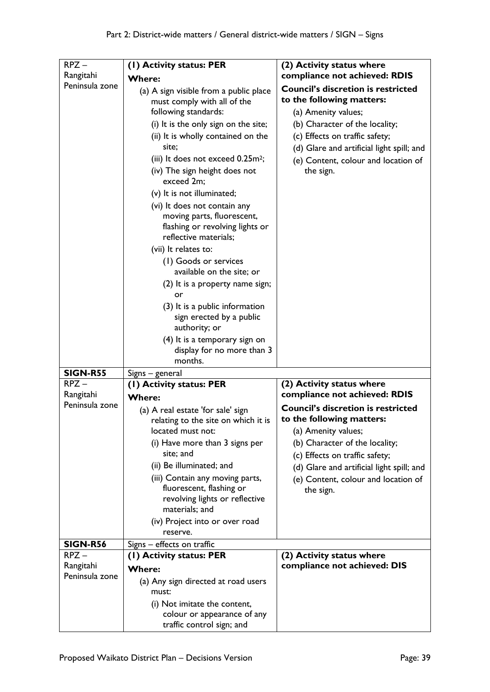| $RPZ -$                     | (I) Activity status: PER                                                                                                                                                                                                                                                                                                                                                                                                                                                                                                                                                                                                                                                                                          | (2) Activity status where                                                                                                                                                                                                                                          |
|-----------------------------|-------------------------------------------------------------------------------------------------------------------------------------------------------------------------------------------------------------------------------------------------------------------------------------------------------------------------------------------------------------------------------------------------------------------------------------------------------------------------------------------------------------------------------------------------------------------------------------------------------------------------------------------------------------------------------------------------------------------|--------------------------------------------------------------------------------------------------------------------------------------------------------------------------------------------------------------------------------------------------------------------|
| Rangitahi                   | <b>Where:</b>                                                                                                                                                                                                                                                                                                                                                                                                                                                                                                                                                                                                                                                                                                     | compliance not achieved: RDIS                                                                                                                                                                                                                                      |
| Peninsula zone              | (a) A sign visible from a public place<br>must comply with all of the<br>following standards:<br>(i) It is the only sign on the site;<br>(ii) It is wholly contained on the<br>site;<br>(iii) It does not exceed 0.25m <sup>2</sup> ;<br>(iv) The sign height does not<br>exceed 2m;<br>(v) It is not illuminated;<br>(vi) It does not contain any<br>moving parts, fluorescent,<br>flashing or revolving lights or<br>reflective materials;<br>(vii) It relates to:<br>(1) Goods or services<br>available on the site; or<br>(2) It is a property name sign;<br>or<br>(3) It is a public information<br>sign erected by a public<br>authority; or<br>(4) It is a temporary sign on<br>display for no more than 3 | <b>Council's discretion is restricted</b><br>to the following matters:<br>(a) Amenity values;<br>(b) Character of the locality;<br>(c) Effects on traffic safety;<br>(d) Glare and artificial light spill; and<br>(e) Content, colour and location of<br>the sign. |
|                             | months.                                                                                                                                                                                                                                                                                                                                                                                                                                                                                                                                                                                                                                                                                                           |                                                                                                                                                                                                                                                                    |
| <b>SIGN-R55</b>             | Signs - general                                                                                                                                                                                                                                                                                                                                                                                                                                                                                                                                                                                                                                                                                                   |                                                                                                                                                                                                                                                                    |
| $RPZ -$                     | (I) Activity status: PER                                                                                                                                                                                                                                                                                                                                                                                                                                                                                                                                                                                                                                                                                          | (2) Activity status where                                                                                                                                                                                                                                          |
| Rangitahi<br>Peninsula zone | <b>Where:</b>                                                                                                                                                                                                                                                                                                                                                                                                                                                                                                                                                                                                                                                                                                     | compliance not achieved: RDIS                                                                                                                                                                                                                                      |
|                             | (a) A real estate 'for sale' sign<br>relating to the site on which it is<br>located must not:<br>(i) Have more than 3 signs per<br>site; and<br>(ii) Be illuminated; and<br>(iii) Contain any moving parts,<br>fluorescent, flashing or<br>revolving lights or reflective<br>materials; and<br>(iv) Project into or over road<br>reserve.                                                                                                                                                                                                                                                                                                                                                                         | <b>Council's discretion is restricted</b><br>to the following matters:<br>(a) Amenity values;<br>(b) Character of the locality;<br>(c) Effects on traffic safety;<br>(d) Glare and artificial light spill; and<br>(e) Content, colour and location of<br>the sign. |
| <b>SIGN-R56</b>             | Signs - effects on traffic                                                                                                                                                                                                                                                                                                                                                                                                                                                                                                                                                                                                                                                                                        |                                                                                                                                                                                                                                                                    |
| $RPZ -$                     | (1) Activity status: PER                                                                                                                                                                                                                                                                                                                                                                                                                                                                                                                                                                                                                                                                                          | (2) Activity status where                                                                                                                                                                                                                                          |
| Rangitahi<br>Peninsula zone | <b>Where:</b><br>(a) Any sign directed at road users<br>must:<br>(i) Not imitate the content,<br>colour or appearance of any<br>traffic control sign; and                                                                                                                                                                                                                                                                                                                                                                                                                                                                                                                                                         | compliance not achieved: DIS                                                                                                                                                                                                                                       |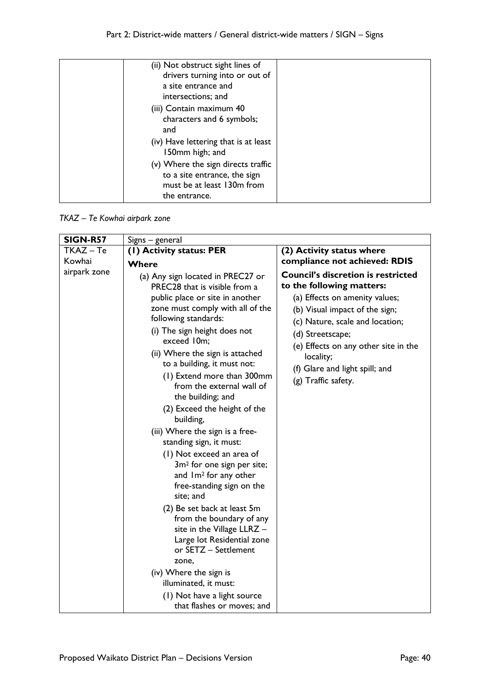| (ii) Not obstruct sight lines of                        |  |
|---------------------------------------------------------|--|
| drivers turning into or out of                          |  |
| a site entrance and                                     |  |
| intersections; and                                      |  |
| (iii) Contain maximum 40                                |  |
| characters and 6 symbols;                               |  |
| and                                                     |  |
| (iv) Have lettering that is at least<br>150mm high; and |  |
| (v) Where the sign directs traffic                      |  |
| to a site entrance, the sign                            |  |
| must be at least 130m from                              |  |
| the entrance.                                           |  |

*TKAZ – Te Kowhai airpark zone*

| <b>SIGN-R57</b> | Signs - general                                                                                                                                                                                                                                                                                                                                                                                                                                                                                                                                                                                                                                                                                |                                                                                                                                                                                                                                                                                                                 |
|-----------------|------------------------------------------------------------------------------------------------------------------------------------------------------------------------------------------------------------------------------------------------------------------------------------------------------------------------------------------------------------------------------------------------------------------------------------------------------------------------------------------------------------------------------------------------------------------------------------------------------------------------------------------------------------------------------------------------|-----------------------------------------------------------------------------------------------------------------------------------------------------------------------------------------------------------------------------------------------------------------------------------------------------------------|
| TKAZ-Te         | (1) Activity status: PER                                                                                                                                                                                                                                                                                                                                                                                                                                                                                                                                                                                                                                                                       | (2) Activity status where                                                                                                                                                                                                                                                                                       |
| Kowhai          | Where                                                                                                                                                                                                                                                                                                                                                                                                                                                                                                                                                                                                                                                                                          | compliance not achieved: RDIS                                                                                                                                                                                                                                                                                   |
| airpark zone    | (a) Any sign located in PREC27 or<br>PREC28 that is visible from a<br>public place or site in another<br>zone must comply with all of the<br>following standards:<br>(i) The sign height does not<br>exceed 10m;<br>(ii) Where the sign is attached<br>to a building, it must not:<br>(1) Extend more than 300mm<br>from the external wall of<br>the building; and<br>(2) Exceed the height of the<br>building,<br>(iii) Where the sign is a free-<br>standing sign, it must:<br>(1) Not exceed an area of<br>3m <sup>2</sup> for one sign per site;<br>and Im <sup>2</sup> for any other<br>free-standing sign on the<br>site; and<br>(2) Be set back at least 5m<br>from the boundary of any | <b>Council's discretion is restricted</b><br>to the following matters:<br>(a) Effects on amenity values;<br>(b) Visual impact of the sign;<br>(c) Nature, scale and location;<br>(d) Streetscape;<br>(e) Effects on any other site in the<br>locality;<br>(f) Glare and light spill; and<br>(g) Traffic safety. |
|                 | site in the Village LLRZ -<br>Large lot Residential zone<br>or SETZ - Settlement                                                                                                                                                                                                                                                                                                                                                                                                                                                                                                                                                                                                               |                                                                                                                                                                                                                                                                                                                 |
|                 | zone,                                                                                                                                                                                                                                                                                                                                                                                                                                                                                                                                                                                                                                                                                          |                                                                                                                                                                                                                                                                                                                 |
|                 | (iv) Where the sign is                                                                                                                                                                                                                                                                                                                                                                                                                                                                                                                                                                                                                                                                         |                                                                                                                                                                                                                                                                                                                 |
|                 | illuminated, it must:                                                                                                                                                                                                                                                                                                                                                                                                                                                                                                                                                                                                                                                                          |                                                                                                                                                                                                                                                                                                                 |
|                 | (1) Not have a light source                                                                                                                                                                                                                                                                                                                                                                                                                                                                                                                                                                                                                                                                    |                                                                                                                                                                                                                                                                                                                 |
|                 | that flashes or moves; and                                                                                                                                                                                                                                                                                                                                                                                                                                                                                                                                                                                                                                                                     |                                                                                                                                                                                                                                                                                                                 |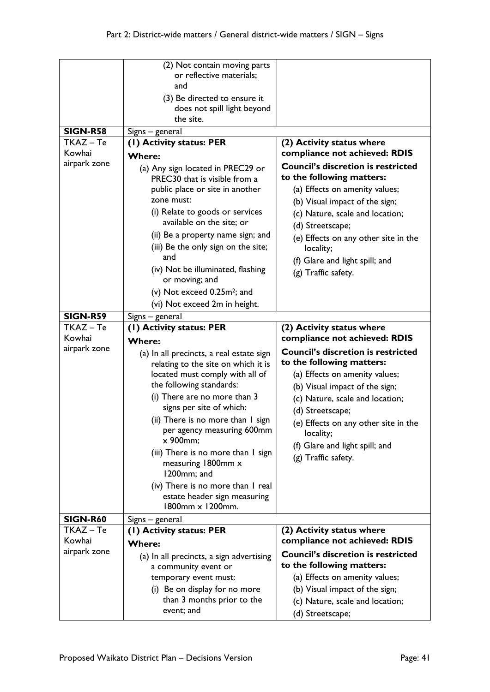|                 | (2) Not contain moving parts<br>or reflective materials;          |                                                                   |
|-----------------|-------------------------------------------------------------------|-------------------------------------------------------------------|
|                 | and                                                               |                                                                   |
|                 | (3) Be directed to ensure it                                      |                                                                   |
|                 | does not spill light beyond                                       |                                                                   |
|                 | the site.                                                         |                                                                   |
| <b>SIGN-R58</b> | Signs - general                                                   |                                                                   |
| TKAZ-Te         | (I) Activity status: PER                                          | (2) Activity status where                                         |
| Kowhai          | <b>Where:</b>                                                     | compliance not achieved: RDIS                                     |
| airpark zone    | (a) Any sign located in PREC29 or                                 | <b>Council's discretion is restricted</b>                         |
|                 | PREC30 that is visible from a                                     | to the following matters:                                         |
|                 | public place or site in another<br>zone must:                     | (a) Effects on amenity values;                                    |
|                 |                                                                   | (b) Visual impact of the sign;                                    |
|                 | (i) Relate to goods or services<br>available on the site; or      | (c) Nature, scale and location;                                   |
|                 | (ii) Be a property name sign; and                                 | (d) Streetscape;                                                  |
|                 | (iii) Be the only sign on the site;                               | (e) Effects on any other site in the<br>locality;                 |
|                 | and                                                               | (f) Glare and light spill; and                                    |
|                 | (iv) Not be illuminated, flashing                                 | (g) Traffic safety.                                               |
|                 | or moving; and                                                    |                                                                   |
|                 | (v) Not exceed 0.25m <sup>2</sup> ; and                           |                                                                   |
|                 | (vi) Not exceed 2m in height.                                     |                                                                   |
| <b>SIGN-R59</b> | Signs - general                                                   |                                                                   |
| TKAZ-Te         | (I) Activity status: PER                                          | (2) Activity status where<br>compliance not achieved: RDIS        |
| Kowhai          | <b>Where:</b>                                                     |                                                                   |
|                 |                                                                   |                                                                   |
| airpark zone    | (a) In all precincts, a real estate sign                          | <b>Council's discretion is restricted</b>                         |
|                 | relating to the site on which it is                               | to the following matters:                                         |
|                 | located must comply with all of                                   | (a) Effects on amenity values;                                    |
|                 | the following standards:                                          | (b) Visual impact of the sign;                                    |
|                 | (i) There are no more than 3<br>signs per site of which:          | (c) Nature, scale and location;                                   |
|                 | (ii) There is no more than I sign                                 | (d) Streetscape;                                                  |
|                 | per agency measuring 600mm                                        | (e) Effects on any other site in the<br>locality;                 |
|                 | x 900mm;                                                          | (f) Glare and light spill; and                                    |
|                 | (iii) There is no more than I sign                                | (g) Traffic safety.                                               |
|                 | measuring 1800mm x                                                |                                                                   |
|                 | 1200mm; and                                                       |                                                                   |
|                 | (iv) There is no more than I real<br>estate header sign measuring |                                                                   |
|                 | 1800mm x 1200mm.                                                  |                                                                   |
| <b>SIGN-R60</b> | Signs - general                                                   |                                                                   |
| TKAZ – Te       | (I) Activity status: PER                                          | (2) Activity status where                                         |
| Kowhai          | <b>Where:</b>                                                     | compliance not achieved: RDIS                                     |
| airpark zone    | (a) In all precincts, a sign advertising                          | <b>Council's discretion is restricted</b>                         |
|                 | a community event or                                              | to the following matters:                                         |
|                 | temporary event must:                                             | (a) Effects on amenity values;                                    |
|                 | (i) Be on display for no more<br>than 3 months prior to the       | (b) Visual impact of the sign;<br>(c) Nature, scale and location; |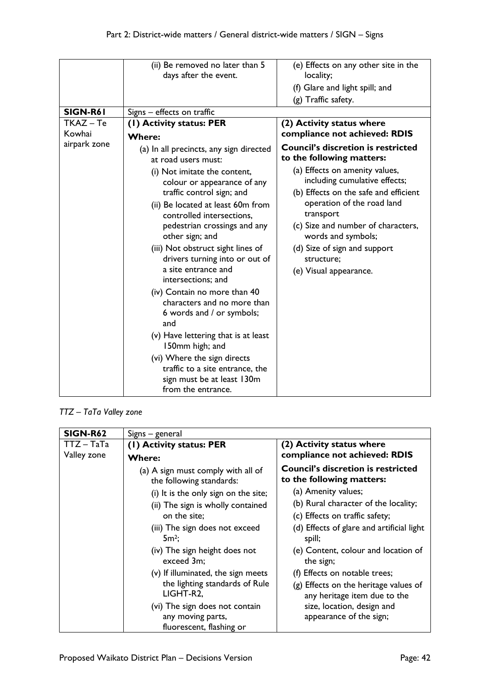| (e) Effects on any other site in the                                                                                                       |
|--------------------------------------------------------------------------------------------------------------------------------------------|
|                                                                                                                                            |
|                                                                                                                                            |
|                                                                                                                                            |
|                                                                                                                                            |
|                                                                                                                                            |
| compliance not achieved: RDIS                                                                                                              |
| <b>Council's discretion is restricted</b>                                                                                                  |
| including cumulative effects;<br>(b) Effects on the safe and efficient<br>operation of the road land<br>(c) Size and number of characters, |
| (a) Effects on amenity values,                                                                                                             |

# *TTZ – TaTa Valley zone*

| <b>SIGN-R62</b> | Signs – general                                                |                                                                        |
|-----------------|----------------------------------------------------------------|------------------------------------------------------------------------|
| $TTZ - TaTa$    | (1) Activity status: PER                                       | (2) Activity status where                                              |
| Valley zone     | <b>Where:</b>                                                  | compliance not achieved: RDIS                                          |
|                 | (a) A sign must comply with all of<br>the following standards: | <b>Council's discretion is restricted</b><br>to the following matters: |
|                 | (i) It is the only sign on the site;                           | (a) Amenity values;                                                    |
|                 | (ii) The sign is wholly contained                              | (b) Rural character of the locality;                                   |
|                 | on the site;                                                   | (c) Effects on traffic safety;                                         |
|                 | (iii) The sign does not exceed<br>$5m^2$ ;                     | (d) Effects of glare and artificial light<br>spill;                    |
|                 | (iv) The sign height does not<br>exceed 3m;                    | (e) Content, colour and location of<br>the sign;                       |
|                 | (v) If illuminated, the sign meets                             | (f) Effects on notable trees;                                          |
|                 | the lighting standards of Rule<br>LIGHT-R2,                    | (g) Effects on the heritage values of<br>any heritage item due to the  |
|                 | (vi) The sign does not contain                                 | size, location, design and                                             |
|                 | any moving parts,                                              | appearance of the sign;                                                |
|                 | fluorescent, flashing or                                       |                                                                        |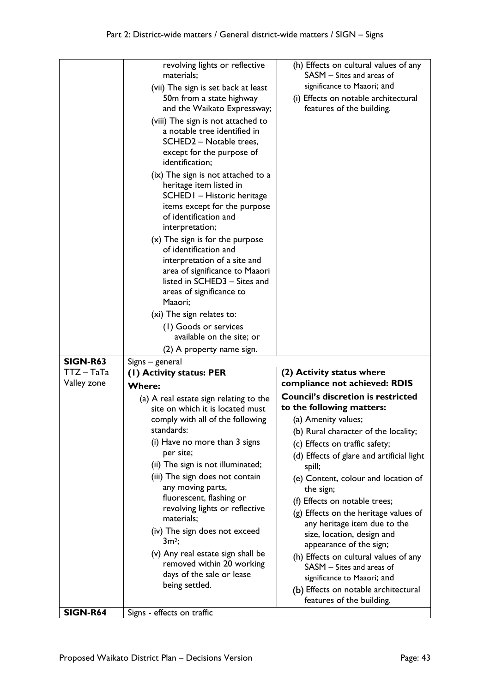|                 | revolving lights or reflective<br>materials;               | (h) Effects on cultural values of any<br>SASM - Sites and areas of |
|-----------------|------------------------------------------------------------|--------------------------------------------------------------------|
|                 | (vii) The sign is set back at least                        | significance to Maaori; and                                        |
|                 | 50m from a state highway                                   | (i) Effects on notable architectural                               |
|                 | and the Waikato Expressway;                                | features of the building.                                          |
|                 | (viii) The sign is not attached to                         |                                                                    |
|                 | a notable tree identified in                               |                                                                    |
|                 | SCHED2 - Notable trees,                                    |                                                                    |
|                 | except for the purpose of                                  |                                                                    |
|                 | identification;                                            |                                                                    |
|                 | (ix) The sign is not attached to a                         |                                                                    |
|                 | heritage item listed in                                    |                                                                    |
|                 | SCHED I - Historic heritage                                |                                                                    |
|                 | items except for the purpose                               |                                                                    |
|                 | of identification and                                      |                                                                    |
|                 | interpretation;                                            |                                                                    |
|                 | $(x)$ The sign is for the purpose<br>of identification and |                                                                    |
|                 | interpretation of a site and                               |                                                                    |
|                 | area of significance to Maaori                             |                                                                    |
|                 | listed in SCHED3 - Sites and                               |                                                                    |
|                 | areas of significance to                                   |                                                                    |
|                 | Maaori;                                                    |                                                                    |
|                 | (xi) The sign relates to:                                  |                                                                    |
|                 | (1) Goods or services                                      |                                                                    |
|                 | available on the site; or                                  |                                                                    |
|                 |                                                            |                                                                    |
|                 | (2) A property name sign.                                  |                                                                    |
| <b>SIGN-R63</b> | Signs – general                                            |                                                                    |
| $TTZ - TaTa$    | (I) Activity status: PER                                   | (2) Activity status where                                          |
| Valley zone     | <b>Where:</b>                                              | compliance not achieved: RDIS                                      |
|                 | (a) A real estate sign relating to the                     | <b>Council's discretion is restricted</b>                          |
|                 | site on which it is located must                           | to the following matters:                                          |
|                 | comply with all of the following                           | (a) Amenity values;                                                |
|                 | standards:                                                 | (b) Rural character of the locality;                               |
|                 | (i) Have no more than 3 signs                              | (c) Effects on traffic safety;                                     |
|                 | per site;                                                  | (d) Effects of glare and artificial light                          |
|                 | (ii) The sign is not illuminated;                          | spill;                                                             |
|                 | (iii) The sign does not contain                            | (e) Content, colour and location of                                |
|                 | any moving parts,                                          | the sign;                                                          |
|                 | fluorescent, flashing or                                   | (f) Effects on notable trees;                                      |
|                 | revolving lights or reflective<br>materials;               | (g) Effects on the heritage values of                              |
|                 | (iv) The sign does not exceed                              | any heritage item due to the                                       |
|                 | $3m^2$ ;                                                   | size, location, design and                                         |
|                 | (v) Any real estate sign shall be                          | appearance of the sign;                                            |
|                 | removed within 20 working                                  | (h) Effects on cultural values of any<br>SASM - Sites and areas of |
|                 | days of the sale or lease                                  | significance to Maaori; and                                        |
|                 | being settled.                                             | (b) Effects on notable architectural                               |
|                 |                                                            | features of the building.                                          |